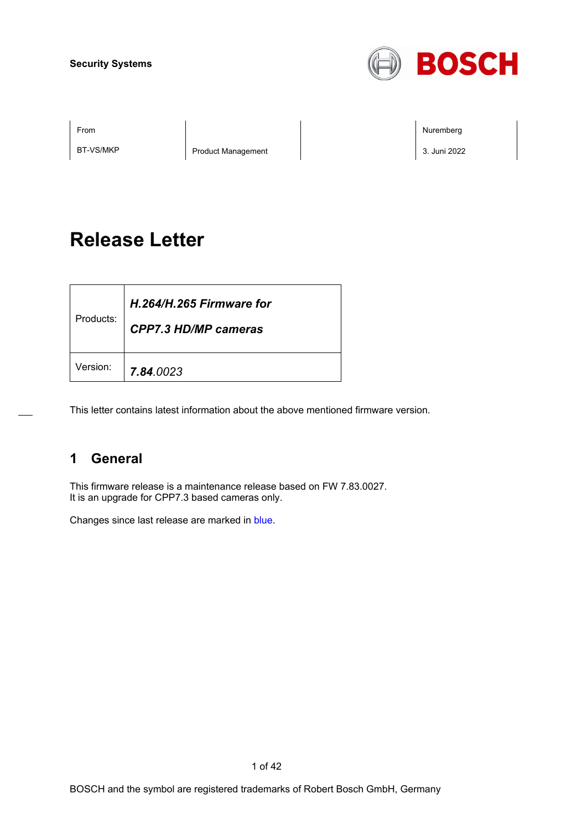

BT-VS/MKP Product Management 3. Juni 2022

From Nuremberg (Nuremberg ) and the contract of the contract of the contract of the contract of the contract of the contract of the contract of the contract of the contract of the contract of the contract of the contract o

# **Release Letter**

| Products: | H.264/H.265 Firmware for<br><b>CPP7.3 HD/MP cameras</b> |
|-----------|---------------------------------------------------------|
| Version:  | 7.84.0023                                               |

This letter contains latest information about the above mentioned firmware version.

# **1 General**

This firmware release is a maintenance release based on FW 7.83.0027. It is an upgrade for CPP7.3 based cameras only.

Changes since last release are marked in blue.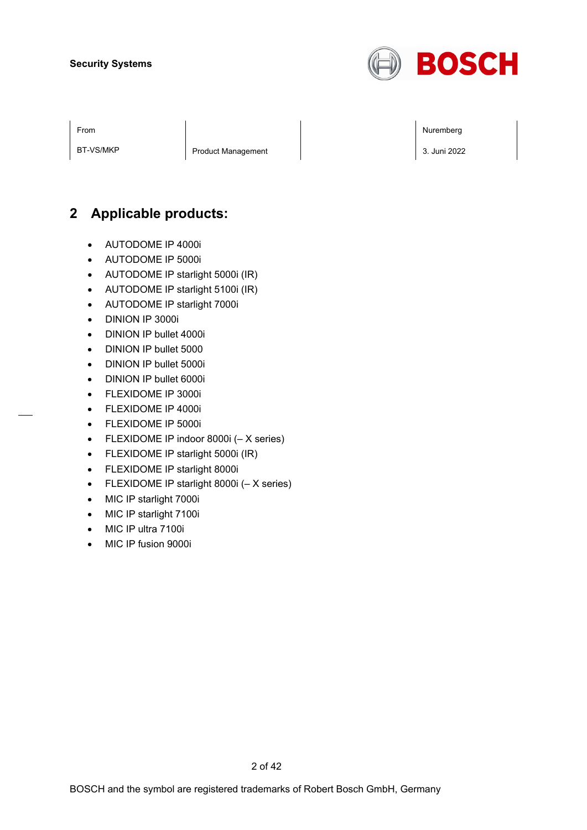

From Nuremberg (Nuremberg ) and the contract of the contract of the contract of the contract of the contract of the contract of the contract of the contract of the contract of the contract of the contract of the contract o

BT-VS/MKP Product Management 3. Juni 2022

# **2 Applicable products:**

- AUTODOME IP 4000i
- AUTODOME IP 5000i
- AUTODOME IP starlight 5000i (IR)
- AUTODOME IP starlight 5100i (IR)
- AUTODOME IP starlight 7000i
- DINION IP 3000i
- DINION IP bullet 4000i
- DINION IP bullet 5000
- DINION IP bullet 5000i
- DINION IP bullet 6000i
- FLEXIDOME IP 3000i
- FLEXIDOME IP 4000i
- FLEXIDOME IP 5000i
- FLEXIDOME IP indoor 8000i (– X series)
- FLEXIDOME IP starlight 5000i (IR)
- FLEXIDOME IP starlight 8000i
- FLEXIDOME IP starlight 8000i (– X series)
- MIC IP starlight 7000i
- MIC IP starlight 7100i
- MIC IP ultra 7100i
- MIC IP fusion 9000i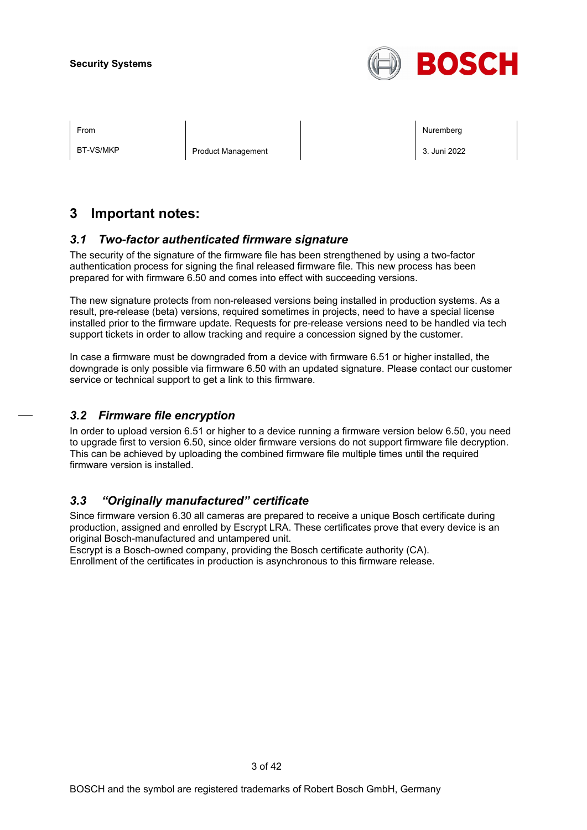

BT-VS/MKP Product Management 3. Juni 2022

From Nuremberg (Nuremberg ) and the contract of the contract of the contract of the contract of the contract of the contract of the contract of the contract of the contract of the contract of the contract of the contract o

# **3 Important notes:**

# *3.1 Two-factor authenticated firmware signature*

The security of the signature of the firmware file has been strengthened by using a two-factor authentication process for signing the final released firmware file. This new process has been prepared for with firmware 6.50 and comes into effect with succeeding versions.

The new signature protects from non-released versions being installed in production systems. As a result, pre-release (beta) versions, required sometimes in projects, need to have a special license installed prior to the firmware update. Requests for pre-release versions need to be handled via tech support tickets in order to allow tracking and require a concession signed by the customer.

In case a firmware must be downgraded from a device with firmware 6.51 or higher installed, the downgrade is only possible via firmware 6.50 with an updated signature. Please contact our customer service or technical support to get a link to this firmware.

# *3.2 Firmware file encryption*

In order to upload version 6.51 or higher to a device running a firmware version below 6.50, you need to upgrade first to version 6.50, since older firmware versions do not support firmware file decryption. This can be achieved by uploading the combined firmware file multiple times until the required firmware version is installed.

# *3.3 "Originally manufactured" certificate*

Since firmware version 6.30 all cameras are prepared to receive a unique Bosch certificate during production, assigned and enrolled by Escrypt LRA. These certificates prove that every device is an original Bosch-manufactured and untampered unit.

Escrypt is a Bosch-owned company, providing the Bosch certificate authority (CA). Enrollment of the certificates in production is asynchronous to this firmware release.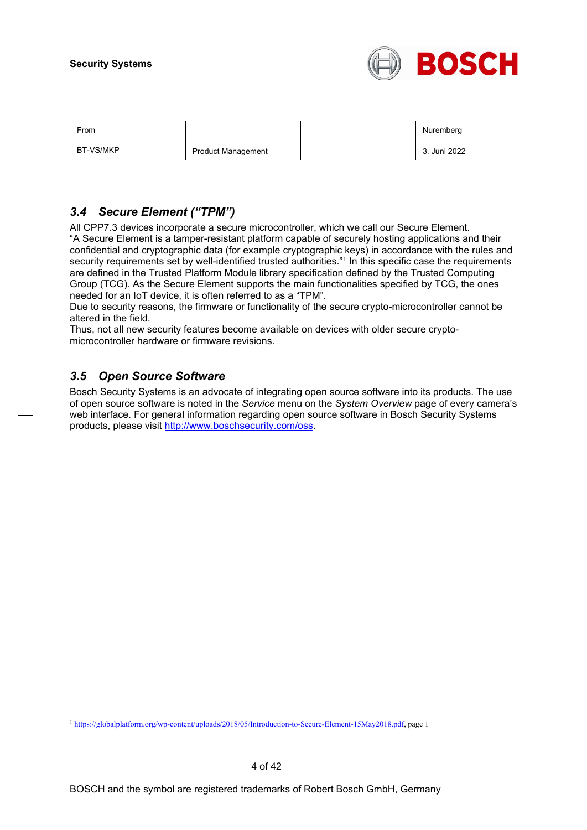

BT-VS/MKP Product Management 3. Juni 2022

From Nuremberg (Nuremberg ) and the state of the state of the state of the state of the state of the state of the state of the state of the state of the state of the state of the state of the state of the state of the stat

# *3.4 Secure Element ("TPM")*

All CPP7.3 devices incorporate a secure microcontroller, which we call our Secure Element. "A Secure Element is a tamper-resistant platform capable of securely hosting applications and their confidential and cryptographic data (for example cryptographic keys) in accordance with the rules and security requirements set by well-identified trusted authorities."<sup>[1](#page-3-0)</sup> In this specific case the requirements are defined in the Trusted Platform Module library specification defined by the Trusted Computing Group (TCG). As the Secure Element supports the main functionalities specified by TCG, the ones needed for an IoT device, it is often referred to as a "TPM".

Due to security reasons, the firmware or functionality of the secure crypto-microcontroller cannot be altered in the field.

Thus, not all new security features become available on devices with older secure cryptomicrocontroller hardware or firmware revisions.

# *3.5 Open Source Software*

Bosch Security Systems is an advocate of integrating open source software into its products. The use of open source software is noted in the *Service* menu on the *System Overview* page of every camera's web interface. For general information regarding open source software in Bosch Security Systems products, please visit [http://www.boschsecurity.com/oss.](http://www.boschsecurity.com/oss)

<span id="page-3-0"></span><sup>1</sup> [https://globalplatform.org/wp-content/uploads/2018/05/Introduction-to-Secure-Element-15May2018.pdf,](https://globalplatform.org/wp-content/uploads/2018/05/Introduction-to-Secure-Element-15May2018.pdf) page 1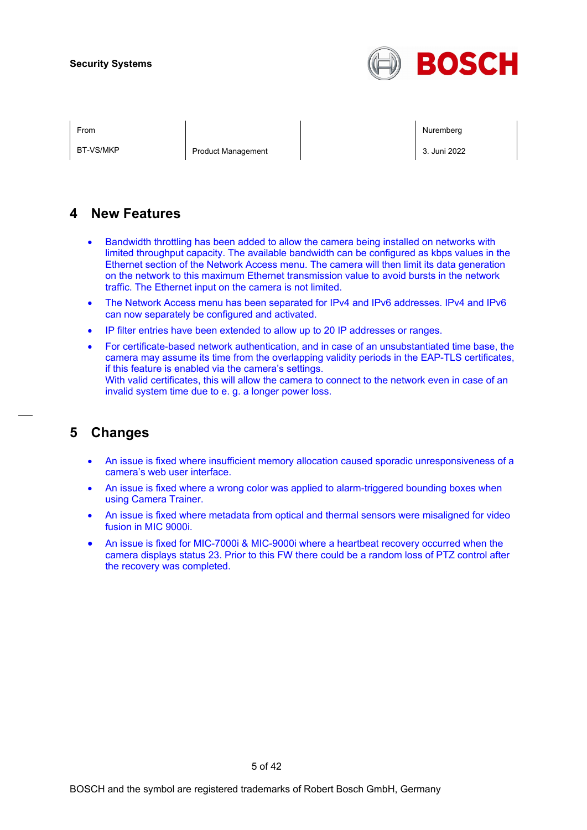

BT-VS/MKP Product Management 2. 3. Juni 2022

From Nuremberg (Nuremberg ) and the contract of the contract of the contract of the contract of the contract of the contract of the contract of the contract of the contract of the contract of the contract of the contract o

# **4 New Features**

- Bandwidth throttling has been added to allow the camera being installed on networks with limited throughput capacity. The available bandwidth can be configured as kbps values in the Ethernet section of the Network Access menu. The camera will then limit its data generation on the network to this maximum Ethernet transmission value to avoid bursts in the network traffic. The Ethernet input on the camera is not limited.
- The Network Access menu has been separated for IPv4 and IPv6 addresses. IPv4 and IPv6 can now separately be configured and activated.
- IP filter entries have been extended to allow up to 20 IP addresses or ranges.
- For certificate-based network authentication, and in case of an unsubstantiated time base, the camera may assume its time from the overlapping validity periods in the EAP-TLS certificates, if this feature is enabled via the camera's settings. With valid certificates, this will allow the camera to connect to the network even in case of an invalid system time due to e. g. a longer power loss.

# **5 Changes**

- An issue is fixed where insufficient memory allocation caused sporadic unresponsiveness of a camera's web user interface.
- An issue is fixed where a wrong color was applied to alarm-triggered bounding boxes when using Camera Trainer.
- An issue is fixed where metadata from optical and thermal sensors were misaligned for video fusion in MIC 9000i.
- An issue is fixed for MIC-7000i & MIC-9000i where a heartbeat recovery occurred when the camera displays status 23. Prior to this FW there could be a random loss of PTZ control after the recovery was completed.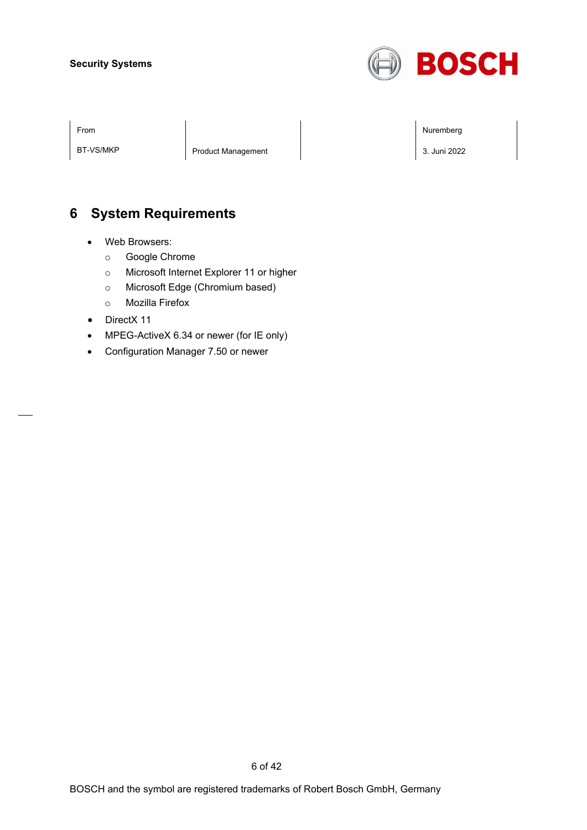

BT-VS/MKP Product Management 2022

From Nuremberg (Nuremberg ) and the contract of the contract of the contract of the contract of the contract of the contract of the contract of the contract of the contract of the contract of the contract of the contract o

# **6 System Requirements**

- Web Browsers:
	- o Google Chrome
	- o Microsoft Internet Explorer 11 or higher
	- o Microsoft Edge (Chromium based)
	- o Mozilla Firefox
- DirectX 11
- MPEG-ActiveX 6.34 or newer (for IE only)
- Configuration Manager 7.50 or newer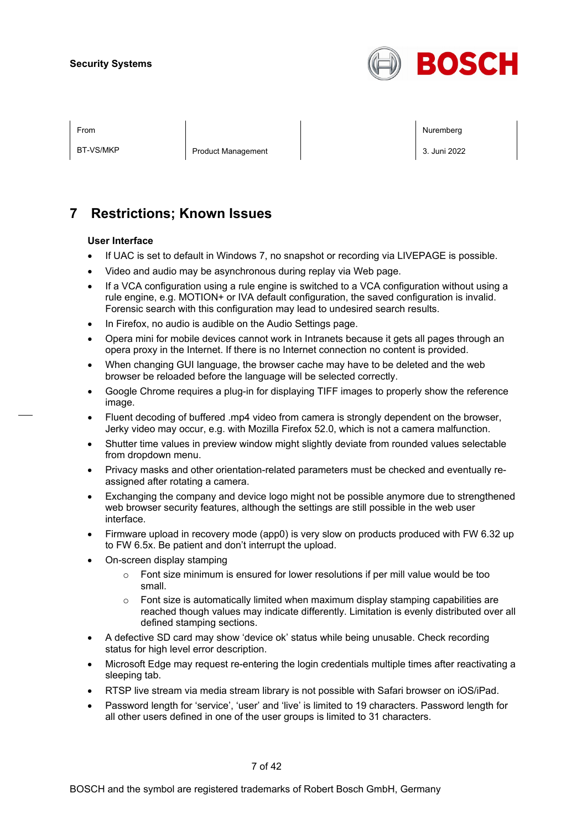

| ×<br>I |
|--------|
|--------|

BT-VS/MKP Product Management 3. Juni 2022

From Nuremberg (Nuremberg ) and the contract of the contract of the contract of the contract of the contract of the contract of the contract of the contract of the contract of the contract of the contract of the contract o

# **7 Restrictions; Known Issues**

#### **User Interface**

- If UAC is set to default in Windows 7, no snapshot or recording via LIVEPAGE is possible.
- Video and audio may be asynchronous during replay via Web page.
- If a VCA configuration using a rule engine is switched to a VCA configuration without using a rule engine, e.g. MOTION+ or IVA default configuration, the saved configuration is invalid. Forensic search with this configuration may lead to undesired search results.
- In Firefox, no audio is audible on the Audio Settings page.
- Opera mini for mobile devices cannot work in Intranets because it gets all pages through an opera proxy in the Internet. If there is no Internet connection no content is provided.
- When changing GUI language, the browser cache may have to be deleted and the web browser be reloaded before the language will be selected correctly.
- Google Chrome requires a plug-in for displaying TIFF images to properly show the reference image.
- Fluent decoding of buffered .mp4 video from camera is strongly dependent on the browser, Jerky video may occur, e.g. with Mozilla Firefox 52.0, which is not a camera malfunction.
- Shutter time values in preview window might slightly deviate from rounded values selectable from dropdown menu.
- Privacy masks and other orientation-related parameters must be checked and eventually reassigned after rotating a camera.
- Exchanging the company and device logo might not be possible anymore due to strengthened web browser security features, although the settings are still possible in the web user interface.
- Firmware upload in recovery mode (app0) is very slow on products produced with FW 6.32 up to FW 6.5x. Be patient and don't interrupt the upload.
- On-screen display stamping
	- $\circ$  Font size minimum is ensured for lower resolutions if per mill value would be too small.
	- $\circ$  Font size is automatically limited when maximum display stamping capabilities are reached though values may indicate differently. Limitation is evenly distributed over all defined stamping sections.
- A defective SD card may show 'device ok' status while being unusable. Check recording status for high level error description.
- Microsoft Edge may request re-entering the login credentials multiple times after reactivating a sleeping tab.
- RTSP live stream via media stream library is not possible with Safari browser on iOS/iPad.
- Password length for 'service', 'user' and 'live' is limited to 19 characters. Password length for all other users defined in one of the user groups is limited to 31 characters.

7 of 42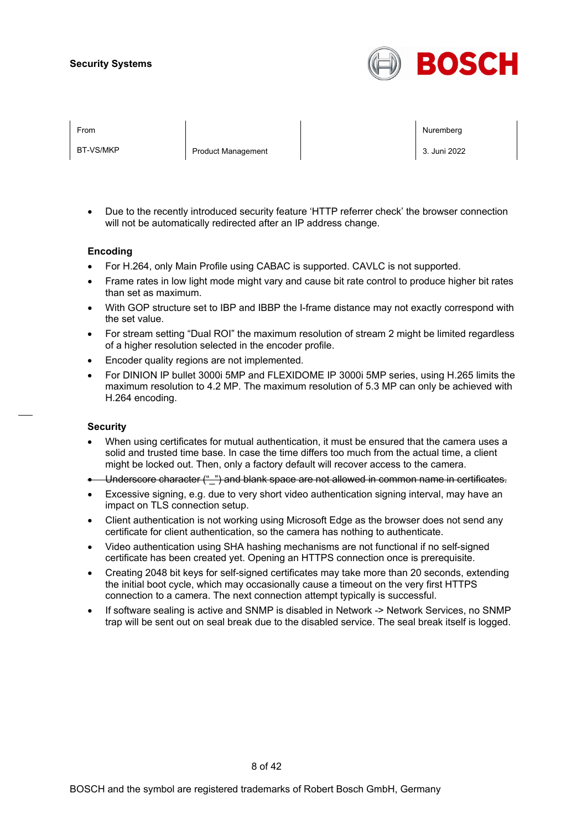

BT-VS/MKP Product Management 3. Juni 2022

From Nuremberg (Nuremberg ) and the state of the state of the state of the state of the state of the state of the state of the state of the state of the state of the state of the state of the state of the state of the stat

• Due to the recently introduced security feature 'HTTP referrer check' the browser connection will not be automatically redirected after an IP address change.

#### **Encoding**

- For H.264, only Main Profile using CABAC is supported. CAVLC is not supported.
- Frame rates in low light mode might vary and cause bit rate control to produce higher bit rates than set as maximum.
- With GOP structure set to IBP and IBBP the I-frame distance may not exactly correspond with the set value.
- For stream setting "Dual ROI" the maximum resolution of stream 2 might be limited regardless of a higher resolution selected in the encoder profile.
- Encoder quality regions are not implemented.
- For DINION IP bullet 3000i 5MP and FLEXIDOME IP 3000i 5MP series, using H.265 limits the maximum resolution to 4.2 MP. The maximum resolution of 5.3 MP can only be achieved with H.264 encoding.

#### **Security**

- When using certificates for mutual authentication, it must be ensured that the camera uses a solid and trusted time base. In case the time differs too much from the actual time, a client might be locked out. Then, only a factory default will recover access to the camera.
- Underscore character ("\_") and blank space are not allowed in common name in certificates.
- Excessive signing, e.g. due to very short video authentication signing interval, may have an impact on TLS connection setup.
- Client authentication is not working using Microsoft Edge as the browser does not send any certificate for client authentication, so the camera has nothing to authenticate.
- Video authentication using SHA hashing mechanisms are not functional if no self-signed certificate has been created yet. Opening an HTTPS connection once is prerequisite.
- Creating 2048 bit keys for self-signed certificates may take more than 20 seconds, extending the initial boot cycle, which may occasionally cause a timeout on the very first HTTPS connection to a camera. The next connection attempt typically is successful.
- If software sealing is active and SNMP is disabled in Network -> Network Services, no SNMP trap will be sent out on seal break due to the disabled service. The seal break itself is logged.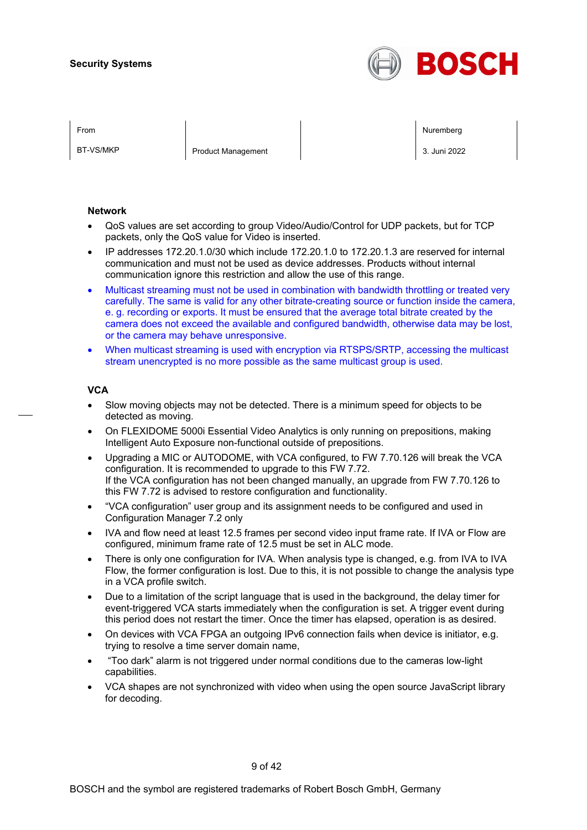

BT-VS/MKP Product Management 2. 3. Juni 2022

From Nuremberg (Nuremberg ) and the contract of the contract of the contract of the contract of the contract of the contract of the contract of the contract of the contract of the contract of the contract of the contract o

#### **Network**

- QoS values are set according to group Video/Audio/Control for UDP packets, but for TCP packets, only the QoS value for Video is inserted.
- IP addresses 172.20.1.0/30 which include 172.20.1.0 to 172.20.1.3 are reserved for internal communication and must not be used as device addresses. Products without internal communication ignore this restriction and allow the use of this range.
- Multicast streaming must not be used in combination with bandwidth throttling or treated very carefully. The same is valid for any other bitrate-creating source or function inside the camera, e. g. recording or exports. It must be ensured that the average total bitrate created by the camera does not exceed the available and configured bandwidth, otherwise data may be lost, or the camera may behave unresponsive.
- When multicast streaming is used with encryption via RTSPS/SRTP, accessing the multicast stream unencrypted is no more possible as the same multicast group is used.

#### **VCA**

- Slow moving objects may not be detected. There is a minimum speed for objects to be detected as moving.
- On FLEXIDOME 5000i Essential Video Analytics is only running on prepositions, making Intelligent Auto Exposure non-functional outside of prepositions.
- Upgrading a MIC or AUTODOME, with VCA configured, to FW 7.70.126 will break the VCA configuration. It is recommended to upgrade to this FW 7.72. If the VCA configuration has not been changed manually, an upgrade from FW 7.70.126 to this FW 7.72 is advised to restore configuration and functionality.
- "VCA configuration" user group and its assignment needs to be configured and used in Configuration Manager 7.2 only
- IVA and flow need at least 12.5 frames per second video input frame rate. If IVA or Flow are configured, minimum frame rate of 12.5 must be set in ALC mode.
- There is only one configuration for IVA. When analysis type is changed, e.g. from IVA to IVA Flow, the former configuration is lost. Due to this, it is not possible to change the analysis type in a VCA profile switch.
- Due to a limitation of the script language that is used in the background, the delay timer for event-triggered VCA starts immediately when the configuration is set. A trigger event during this period does not restart the timer. Once the timer has elapsed, operation is as desired.
- On devices with VCA FPGA an outgoing IPv6 connection fails when device is initiator, e.g. trying to resolve a time server domain name,
- "Too dark" alarm is not triggered under normal conditions due to the cameras low-light capabilities.
- VCA shapes are not synchronized with video when using the open source JavaScript library for decoding.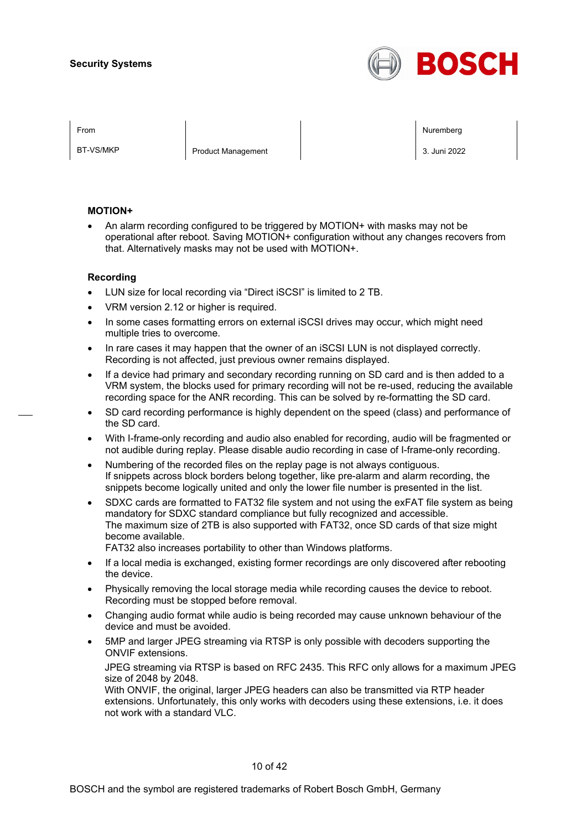

BT-VS/MKP Product Management 2. 3. Juni 2022

From Nuremberg (Nuremberg ) and the contract of the contract of the contract of the contract of the contract of the contract of the contract of the contract of the contract of the contract of the contract of the contract o

#### **MOTION+**

• An alarm recording configured to be triggered by MOTION+ with masks may not be operational after reboot. Saving MOTION+ configuration without any changes recovers from that. Alternatively masks may not be used with MOTION+.

#### **Recording**

- LUN size for local recording via "Direct iSCSI" is limited to 2 TB.
- VRM version 2.12 or higher is required.
- In some cases formatting errors on external iSCSI drives may occur, which might need multiple tries to overcome.
- In rare cases it may happen that the owner of an iSCSI LUN is not displayed correctly. Recording is not affected, just previous owner remains displayed.
- If a device had primary and secondary recording running on SD card and is then added to a VRM system, the blocks used for primary recording will not be re-used, reducing the available recording space for the ANR recording. This can be solved by re-formatting the SD card.
- SD card recording performance is highly dependent on the speed (class) and performance of the SD card.
- With I-frame-only recording and audio also enabled for recording, audio will be fragmented or not audible during replay. Please disable audio recording in case of I-frame-only recording.
- Numbering of the recorded files on the replay page is not always contiguous. If snippets across block borders belong together, like pre-alarm and alarm recording, the snippets become logically united and only the lower file number is presented in the list.
- SDXC cards are formatted to FAT32 file system and not using the exFAT file system as being mandatory for SDXC standard compliance but fully recognized and accessible. The maximum size of 2TB is also supported with FAT32, once SD cards of that size might become available.

FAT32 also increases portability to other than Windows platforms.

- If a local media is exchanged, existing former recordings are only discovered after rebooting the device.
- Physically removing the local storage media while recording causes the device to reboot. Recording must be stopped before removal.
- Changing audio format while audio is being recorded may cause unknown behaviour of the device and must be avoided.
- 5MP and larger JPEG streaming via RTSP is only possible with decoders supporting the ONVIF extensions.

JPEG streaming via RTSP is based on RFC 2435. This RFC only allows for a maximum JPEG size of 2048 by 2048.

With ONVIF, the original, larger JPEG headers can also be transmitted via RTP header extensions. Unfortunately, this only works with decoders using these extensions, i.e. it does not work with a standard VLC.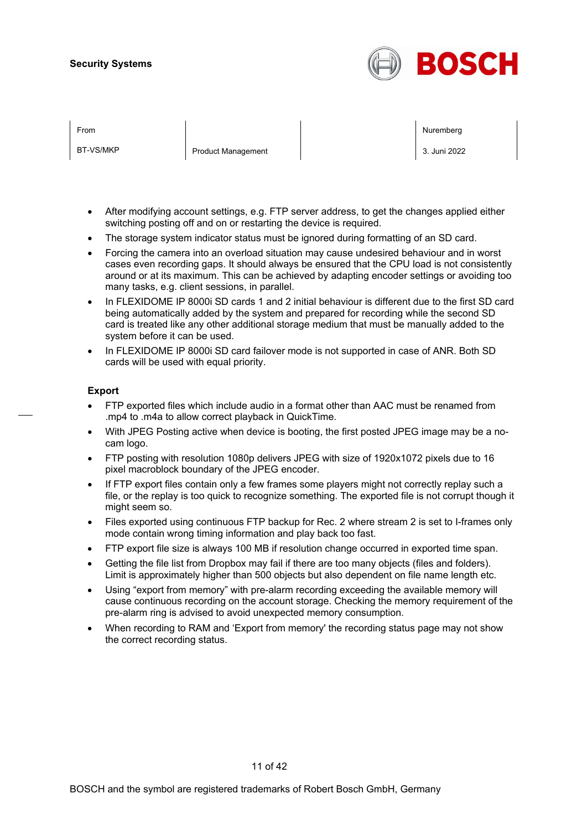

| From      |                           | Nuremberg    |
|-----------|---------------------------|--------------|
| BT-VS/MKP | <b>Product Management</b> | 3. Juni 2022 |

- After modifying account settings, e.g. FTP server address, to get the changes applied either switching posting off and on or restarting the device is required.
- The storage system indicator status must be ignored during formatting of an SD card.
- Forcing the camera into an overload situation may cause undesired behaviour and in worst cases even recording gaps. It should always be ensured that the CPU load is not consistently around or at its maximum. This can be achieved by adapting encoder settings or avoiding too many tasks, e.g. client sessions, in parallel.
- In FLEXIDOME IP 8000i SD cards 1 and 2 initial behaviour is different due to the first SD card being automatically added by the system and prepared for recording while the second SD card is treated like any other additional storage medium that must be manually added to the system before it can be used.
- In FLEXIDOME IP 8000i SD card failover mode is not supported in case of ANR. Both SD cards will be used with equal priority.

#### **Export**

- FTP exported files which include audio in a format other than AAC must be renamed from .mp4 to .m4a to allow correct playback in QuickTime.
- With JPEG Posting active when device is booting, the first posted JPEG image may be a nocam logo.
- FTP posting with resolution 1080p delivers JPEG with size of 1920x1072 pixels due to 16 pixel macroblock boundary of the JPEG encoder.
- If FTP export files contain only a few frames some players might not correctly replay such a file, or the replay is too quick to recognize something. The exported file is not corrupt though it might seem so.
- Files exported using continuous FTP backup for Rec. 2 where stream 2 is set to I-frames only mode contain wrong timing information and play back too fast.
- FTP export file size is always 100 MB if resolution change occurred in exported time span.
- Getting the file list from Dropbox may fail if there are too many objects (files and folders). Limit is approximately higher than 500 objects but also dependent on file name length etc.
- Using "export from memory" with pre-alarm recording exceeding the available memory will cause continuous recording on the account storage. Checking the memory requirement of the pre-alarm ring is advised to avoid unexpected memory consumption.
- When recording to RAM and 'Export from memory' the recording status page may not show the correct recording status.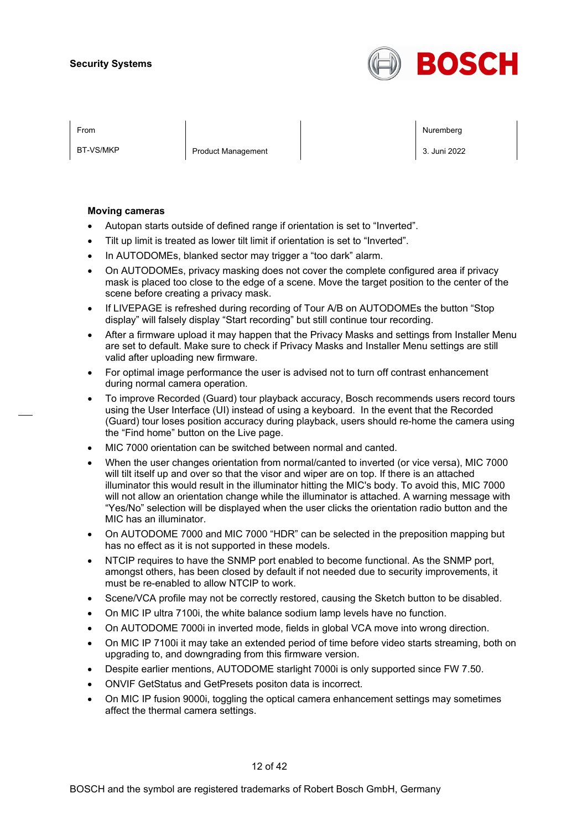

BT-VS/MKP Product Management 2. 3. Juni 2022

From Nuremberg (Nuremberg ) and the contract of the contract of the contract of the contract of the contract of the contract of the contract of the contract of the contract of the contract of the contract of the contract o

#### **Moving cameras**

- Autopan starts outside of defined range if orientation is set to "Inverted".
- Tilt up limit is treated as lower tilt limit if orientation is set to "Inverted".
- In AUTODOMEs, blanked sector may trigger a "too dark" alarm.
- On AUTODOMEs, privacy masking does not cover the complete configured area if privacy mask is placed too close to the edge of a scene. Move the target position to the center of the scene before creating a privacy mask.
- If LIVEPAGE is refreshed during recording of Tour A/B on AUTODOMEs the button "Stop display" will falsely display "Start recording" but still continue tour recording.
- After a firmware upload it may happen that the Privacy Masks and settings from Installer Menu are set to default. Make sure to check if Privacy Masks and Installer Menu settings are still valid after uploading new firmware.
- For optimal image performance the user is advised not to turn off contrast enhancement during normal camera operation.
- To improve Recorded (Guard) tour playback accuracy, Bosch recommends users record tours using the User Interface (UI) instead of using a keyboard. In the event that the Recorded (Guard) tour loses position accuracy during playback, users should re-home the camera using the "Find home" button on the Live page.
- MIC 7000 orientation can be switched between normal and canted.
- When the user changes orientation from normal/canted to inverted (or vice versa), MIC 7000 will tilt itself up and over so that the visor and wiper are on top. If there is an attached illuminator this would result in the illuminator hitting the MIC's body. To avoid this, MIC 7000 will not allow an orientation change while the illuminator is attached. A warning message with "Yes/No" selection will be displayed when the user clicks the orientation radio button and the MIC has an illuminator.
- On AUTODOME 7000 and MIC 7000 "HDR" can be selected in the preposition mapping but has no effect as it is not supported in these models.
- NTCIP requires to have the SNMP port enabled to become functional. As the SNMP port, amongst others, has been closed by default if not needed due to security improvements, it must be re-enabled to allow NTCIP to work.
- Scene/VCA profile may not be correctly restored, causing the Sketch button to be disabled.
- On MIC IP ultra 7100i, the white balance sodium lamp levels have no function.
- On AUTODOME 7000i in inverted mode, fields in global VCA move into wrong direction.
- On MIC IP 7100i it may take an extended period of time before video starts streaming, both on upgrading to, and downgrading from this firmware version.
- Despite earlier mentions, AUTODOME starlight 7000i is only supported since FW 7.50.
- ONVIF GetStatus and GetPresets positon data is incorrect.
- On MIC IP fusion 9000i, toggling the optical camera enhancement settings may sometimes affect the thermal camera settings.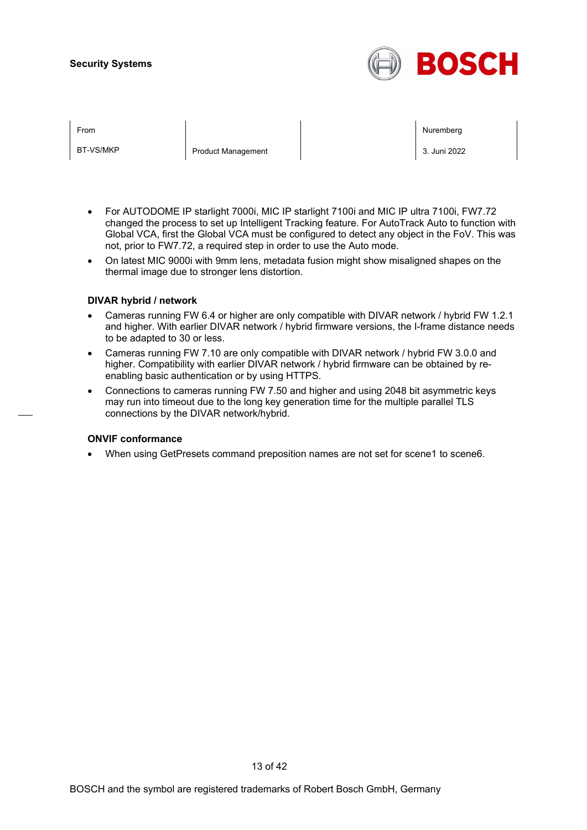

| From      |                           | Nuremberg    |
|-----------|---------------------------|--------------|
| BT-VS/MKP | <b>Product Management</b> | 3. Juni 2022 |

- For AUTODOME IP starlight 7000i, MIC IP starlight 7100i and MIC IP ultra 7100i, FW7.72 changed the process to set up Intelligent Tracking feature. For AutoTrack Auto to function with Global VCA, first the Global VCA must be configured to detect any object in the FoV. This was not, prior to FW7.72, a required step in order to use the Auto mode.
- On latest MIC 9000i with 9mm lens, metadata fusion might show misaligned shapes on the thermal image due to stronger lens distortion.

#### **DIVAR hybrid / network**

- Cameras running FW 6.4 or higher are only compatible with DIVAR network / hybrid FW 1.2.1 and higher. With earlier DIVAR network / hybrid firmware versions, the I-frame distance needs to be adapted to 30 or less.
- Cameras running FW 7.10 are only compatible with DIVAR network / hybrid FW 3.0.0 and higher. Compatibility with earlier DIVAR network / hybrid firmware can be obtained by reenabling basic authentication or by using HTTPS.
- Connections to cameras running FW 7.50 and higher and using 2048 bit asymmetric keys may run into timeout due to the long key generation time for the multiple parallel TLS connections by the DIVAR network/hybrid.

#### **ONVIF conformance**

• When using GetPresets command preposition names are not set for scene1 to scene6.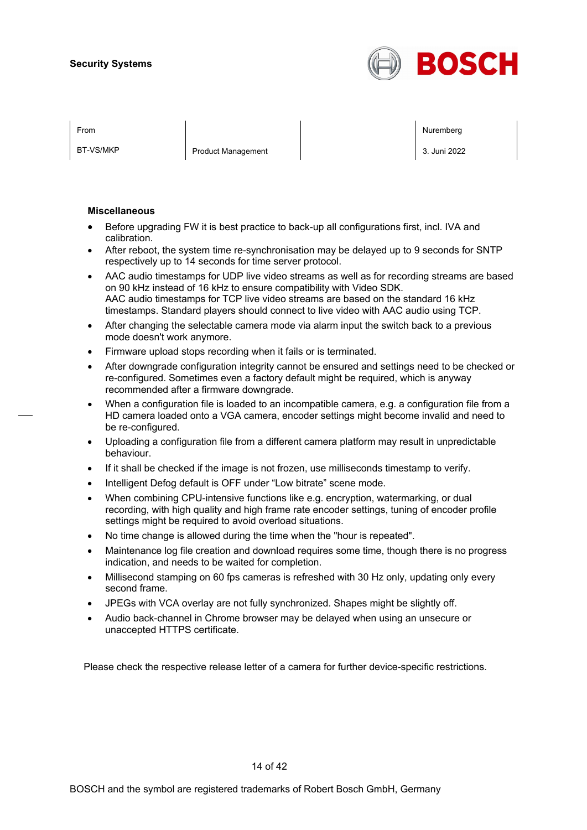

BT-VS/MKP Product Management 2. 3. Juni 2022

From Nuremberg (Nuremberg ) and the contract of the contract of the contract of the contract of the contract of the contract of the contract of the contract of the contract of the contract of the contract of the contract o

#### **Miscellaneous**

- Before upgrading FW it is best practice to back-up all configurations first, incl. IVA and calibration.
- After reboot, the system time re-synchronisation may be delayed up to 9 seconds for SNTP respectively up to 14 seconds for time server protocol.
- AAC audio timestamps for UDP live video streams as well as for recording streams are based on 90 kHz instead of 16 kHz to ensure compatibility with Video SDK. AAC audio timestamps for TCP live video streams are based on the standard 16 kHz timestamps. Standard players should connect to live video with AAC audio using TCP.
- After changing the selectable camera mode via alarm input the switch back to a previous mode doesn't work anymore.
- Firmware upload stops recording when it fails or is terminated.
- After downgrade configuration integrity cannot be ensured and settings need to be checked or re-configured. Sometimes even a factory default might be required, which is anyway recommended after a firmware downgrade.
- When a configuration file is loaded to an incompatible camera, e.g. a configuration file from a HD camera loaded onto a VGA camera, encoder settings might become invalid and need to be re-configured.
- Uploading a configuration file from a different camera platform may result in unpredictable behaviour.
- If it shall be checked if the image is not frozen, use milliseconds timestamp to verify.
- Intelligent Defog default is OFF under "Low bitrate" scene mode.
- When combining CPU-intensive functions like e.g. encryption, watermarking, or dual recording, with high quality and high frame rate encoder settings, tuning of encoder profile settings might be required to avoid overload situations.
- No time change is allowed during the time when the "hour is repeated".
- Maintenance log file creation and download requires some time, though there is no progress indication, and needs to be waited for completion.
- Millisecond stamping on 60 fps cameras is refreshed with 30 Hz only, updating only every second frame.
- JPEGs with VCA overlay are not fully synchronized. Shapes might be slightly off.
- Audio back-channel in Chrome browser may be delayed when using an unsecure or unaccepted HTTPS certificate.

Please check the respective release letter of a camera for further device-specific restrictions.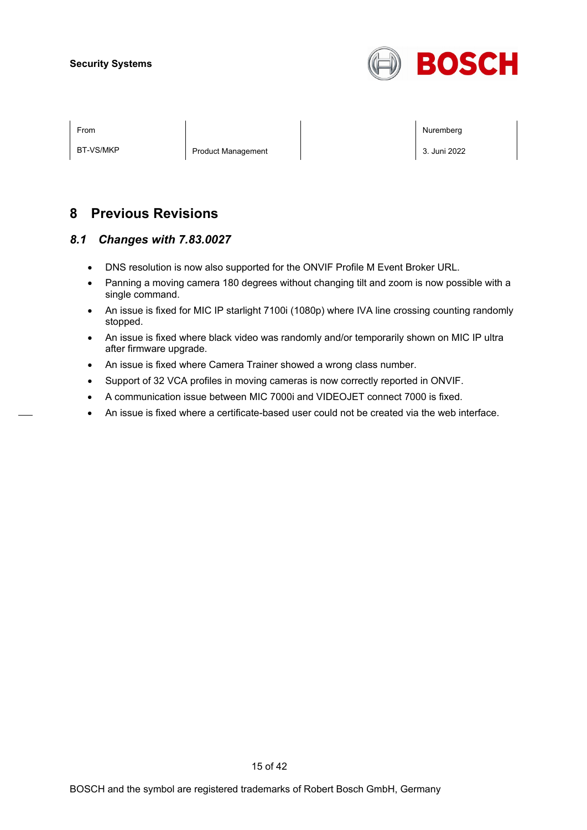

BT-VS/MKP Product Management 3. Juni 2022

From Nuremberg (Nuremberg ) and the contract of the contract of the contract of the contract of the contract of the contract of the contract of the contract of the contract of the contract of the contract of the contract o

# **8 Previous Revisions**

# *8.1 Changes with 7.83.0027*

- DNS resolution is now also supported for the ONVIF Profile M Event Broker URL.
- Panning a moving camera 180 degrees without changing tilt and zoom is now possible with a single command.
- An issue is fixed for MIC IP starlight 7100i (1080p) where IVA line crossing counting randomly stopped.
- An issue is fixed where black video was randomly and/or temporarily shown on MIC IP ultra after firmware upgrade.
- An issue is fixed where Camera Trainer showed a wrong class number.
- Support of 32 VCA profiles in moving cameras is now correctly reported in ONVIF.
- A communication issue between MIC 7000i and VIDEOJET connect 7000 is fixed.
- An issue is fixed where a certificate-based user could not be created via the web interface.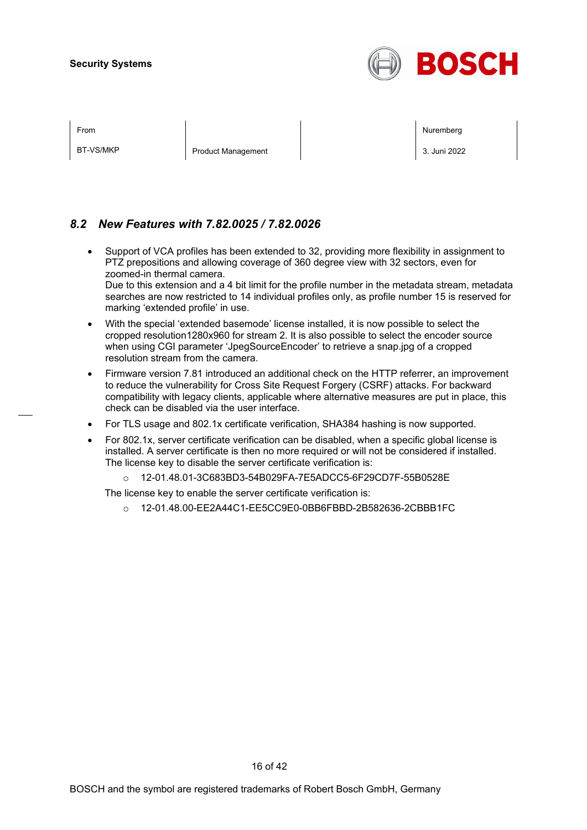

BT-VS/MKP Product Management 3. Juni 2022

From Nuremberg (Nuremberg ) and the contract of the contract of the contract of the contract of the contract of the contract of the contract of the contract of the contract of the contract of the contract of the contract o

# *8.2 New Features with 7.82.0025 / 7.82.0026*

- Support of VCA profiles has been extended to 32, providing more flexibility in assignment to PTZ prepositions and allowing coverage of 360 degree view with 32 sectors, even for zoomed-in thermal camera. Due to this extension and a 4 bit limit for the profile number in the metadata stream, metadata searches are now restricted to 14 individual profiles only, as profile number 15 is reserved for marking 'extended profile' in use.
- With the special 'extended basemode' license installed, it is now possible to select the cropped resolution1280x960 for stream 2. It is also possible to select the encoder source when using CGI parameter 'JpegSourceEncoder' to retrieve a snap.jpg of a cropped resolution stream from the camera.
- Firmware version 7.81 introduced an additional check on the HTTP referrer, an improvement to reduce the vulnerability for Cross Site Request Forgery (CSRF) attacks. For backward compatibility with legacy clients, applicable where alternative measures are put in place, this check can be disabled via the user interface.
- For TLS usage and 802.1x certificate verification, SHA384 hashing is now supported.
- For 802.1x, server certificate verification can be disabled, when a specific global license is installed. A server certificate is then no more required or will not be considered if installed. The license key to disable the server certificate verification is:
	- o 12-01.48.01-3C683BD3-54B029FA-7E5ADCC5-6F29CD7F-55B0528E

The license key to enable the server certificate verification is:

o 12-01.48.00-EE2A44C1-EE5CC9E0-0BB6FBBD-2B582636-2CBBB1FC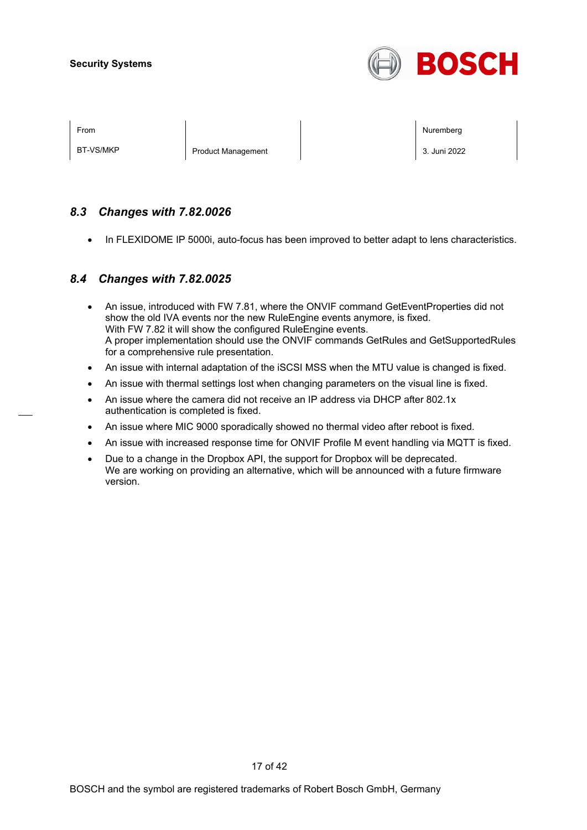

BT-VS/MKP Product Management 3. Juni 2022

From Nuremberg (Nuremberg ) and the contract of the contract of the contract of the contract of the contract of the contract of the contract of the contract of the contract of the contract of the contract of the contract o

# *8.3 Changes with 7.82.0026*

• In FLEXIDOME IP 5000i, auto-focus has been improved to better adapt to lens characteristics.

# *8.4 Changes with 7.82.0025*

- An issue, introduced with FW 7.81, where the ONVIF command GetEventProperties did not show the old IVA events nor the new RuleEngine events anymore, is fixed. With FW 7.82 it will show the configured RuleEngine events. A proper implementation should use the ONVIF commands GetRules and GetSupportedRules for a comprehensive rule presentation.
- An issue with internal adaptation of the iSCSI MSS when the MTU value is changed is fixed.
- An issue with thermal settings lost when changing parameters on the visual line is fixed.
- An issue where the camera did not receive an IP address via DHCP after 802.1x authentication is completed is fixed.
- An issue where MIC 9000 sporadically showed no thermal video after reboot is fixed.
- An issue with increased response time for ONVIF Profile M event handling via MQTT is fixed.
- Due to a change in the Dropbox API, the support for Dropbox will be deprecated. We are working on providing an alternative, which will be announced with a future firmware version.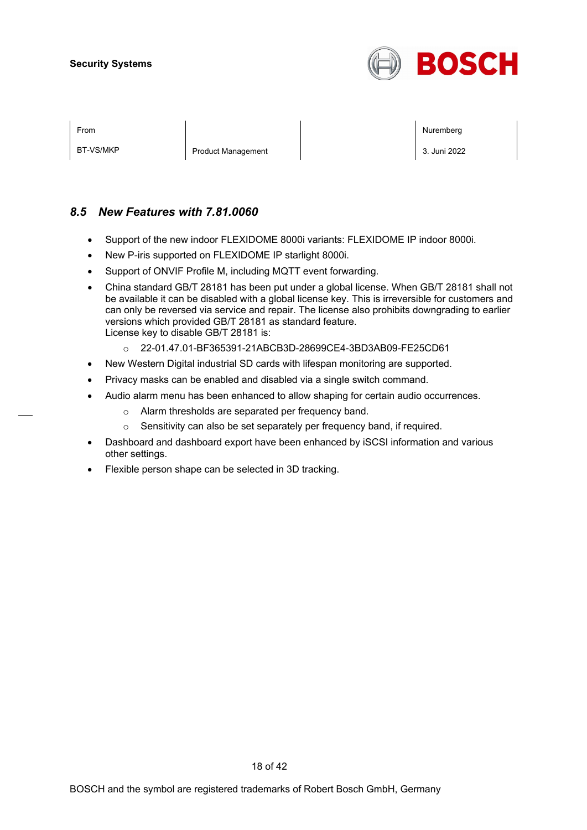

| <b>From</b> |  |
|-------------|--|
|             |  |

BT-VS/MKP Product Management 2. 3. Juni 2022

From Nuremberg (Nuremberg ) and the contract of the contract of the contract of the contract of the contract of the contract of the contract of the contract of the contract of the contract of the contract of the contract o

# *8.5 New Features with 7.81.0060*

- Support of the new indoor FLEXIDOME 8000i variants: FLEXIDOME IP indoor 8000i.
- New P-iris supported on FLEXIDOME IP starlight 8000i.
- Support of ONVIF Profile M, including MQTT event forwarding.
- China standard GB/T 28181 has been put under a global license. When GB/T 28181 shall not be available it can be disabled with a global license key. This is irreversible for customers and can only be reversed via service and repair. The license also prohibits downgrading to earlier versions which provided GB/T 28181 as standard feature. License key to disable GB/T 28181 is:
	- o 22-01.47.01-BF365391-21ABCB3D-28699CE4-3BD3AB09-FE25CD61
- New Western Digital industrial SD cards with lifespan monitoring are supported.
- Privacy masks can be enabled and disabled via a single switch command.
	- Audio alarm menu has been enhanced to allow shaping for certain audio occurrences.
		- o Alarm thresholds are separated per frequency band.
		- o Sensitivity can also be set separately per frequency band, if required.
- Dashboard and dashboard export have been enhanced by iSCSI information and various other settings.
- Flexible person shape can be selected in 3D tracking.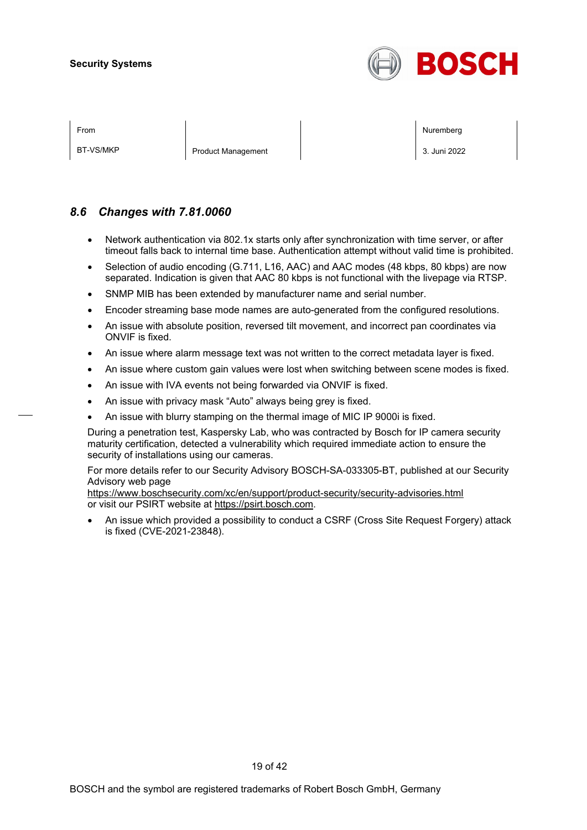

| ×<br>I |
|--------|
|--------|

BT-VS/MKP Product Management 3. Juni 2022

From Nuremberg (Nuremberg ) and the state of the state of the state of the state of the state of the state of the state of the state of the state of the state of the state of the state of the state of the state of the stat

## *8.6 Changes with 7.81.0060*

- Network authentication via 802.1x starts only after synchronization with time server, or after timeout falls back to internal time base. Authentication attempt without valid time is prohibited.
- Selection of audio encoding (G.711, L16, AAC) and AAC modes (48 kbps, 80 kbps) are now separated. Indication is given that AAC 80 kbps is not functional with the livepage via RTSP.
- SNMP MIB has been extended by manufacturer name and serial number.
- Encoder streaming base mode names are auto-generated from the configured resolutions.
- An issue with absolute position, reversed tilt movement, and incorrect pan coordinates via ONVIF is fixed.
- An issue where alarm message text was not written to the correct metadata layer is fixed.
- An issue where custom gain values were lost when switching between scene modes is fixed.
- An issue with IVA events not being forwarded via ONVIF is fixed.
- An issue with privacy mask "Auto" always being grey is fixed.
- An issue with blurry stamping on the thermal image of MIC IP 9000i is fixed.

During a penetration test, Kaspersky Lab, who was contracted by Bosch for IP camera security maturity certification, detected a vulnerability which required immediate action to ensure the security of installations using our cameras.

For more details refer to our Security Advisory BOSCH-SA-033305-BT, published at our Security Advisory web page

<https://www.boschsecurity.com/xc/en/support/product-security/security-advisories.html> or visit our PSIRT website at [https://psirt.bosch.com.](https://psirt.bosch.com/)

• An issue which provided a possibility to conduct a CSRF (Cross Site Request Forgery) attack is fixed (CVE-2021-23848).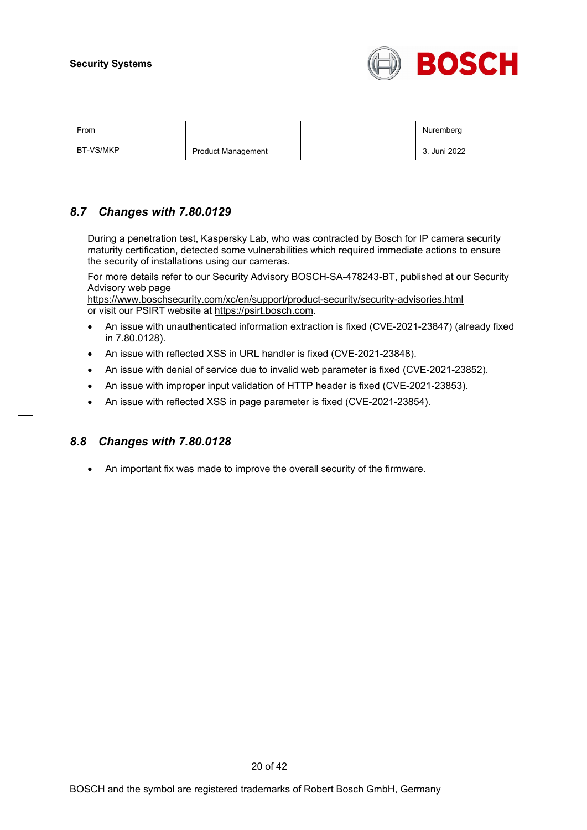

BT-VS/MKP Product Management 3. Juni 2022

From Nuremberg (Nuremberg ) and the state of the state of the state of the state of the state of the state of the state of the state of the state of the state of the state of the state of the state of the state of the stat

# *8.7 Changes with 7.80.0129*

During a penetration test, Kaspersky Lab, who was contracted by Bosch for IP camera security maturity certification, detected some vulnerabilities which required immediate actions to ensure the security of installations using our cameras.

For more details refer to our Security Advisory BOSCH-SA-478243-BT, published at our Security Advisory web page

<https://www.boschsecurity.com/xc/en/support/product-security/security-advisories.html> or visit our PSIRT website at [https://psirt.bosch.com.](https://psirt.bosch.com/)

- An issue with unauthenticated information extraction is fixed (CVE-2021-23847) (already fixed in 7.80.0128).
- An issue with reflected XSS in URL handler is fixed (CVE-2021-23848).
- An issue with denial of service due to invalid web parameter is fixed (CVE-2021-23852).
- An issue with improper input validation of HTTP header is fixed (CVE-2021-23853).
- An issue with reflected XSS in page parameter is fixed (CVE-2021-23854).

## *8.8 Changes with 7.80.0128*

• An important fix was made to improve the overall security of the firmware.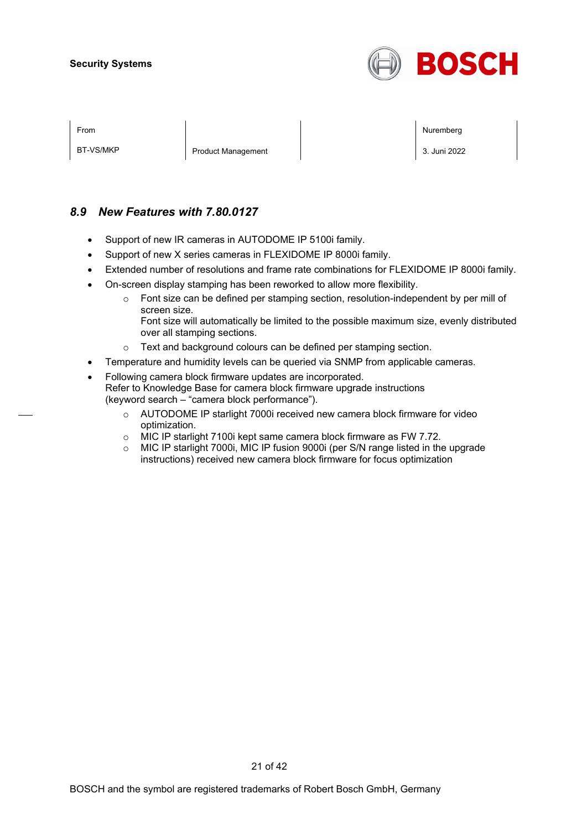

| ×<br>I |  |
|--------|--|
|        |  |

BT-VS/MKP Product Management 3. Juni 2022

From Nuremberg (Nuremberg ) and the contract of the contract of the contract of the contract of the contract of the contract of the contract of the contract of the contract of the contract of the contract of the contract o

# *8.9 New Features with 7.80.0127*

- Support of new IR cameras in AUTODOME IP 5100i family.
- Support of new X series cameras in FLEXIDOME IP 8000i family.
- Extended number of resolutions and frame rate combinations for FLEXIDOME IP 8000i family.
- On-screen display stamping has been reworked to allow more flexibility.
	- o Font size can be defined per stamping section, resolution-independent by per mill of screen size.
		- Font size will automatically be limited to the possible maximum size, evenly distributed over all stamping sections.
	- o Text and background colours can be defined per stamping section.
- Temperature and humidity levels can be queried via SNMP from applicable cameras.
- Following camera block firmware updates are incorporated. Refer to Knowledge Base for camera block firmware upgrade instructions (keyword search – "camera block performance").
	- o AUTODOME IP starlight 7000i received new camera block firmware for video optimization.
	- o MIC IP starlight 7100i kept same camera block firmware as FW 7.72.<br>
	o MIC IP starlight 7000i, MIC IP fusion 9000i (per S/N range listed in th
	- MIC IP starlight 7000i, MIC IP fusion 9000i (per S/N range listed in the upgrade instructions) received new camera block firmware for focus optimization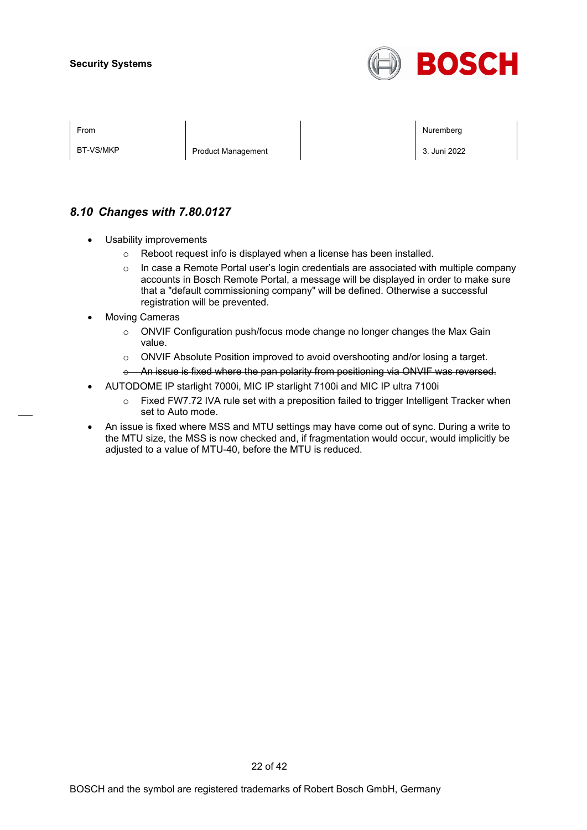

BT-VS/MKP Product Management 2022

From Nuremberg (Nuremberg ) and the state of the state of the state of the state of the state of the state of the state of the state of the state of the state of the state of the state of the state of the state of the stat

# *8.10 Changes with 7.80.0127*

- Usability improvements
	- o Reboot request info is displayed when a license has been installed.
	- $\circ$  In case a Remote Portal user's login credentials are associated with multiple company accounts in Bosch Remote Portal, a message will be displayed in order to make sure that a "default commissioning company" will be defined. Otherwise a successful registration will be prevented.
- **Moving Cameras** 
	- $\circ$  ONVIF Configuration push/focus mode change no longer changes the Max Gain value.
	- o ONVIF Absolute Position improved to avoid overshooting and/or losing a target.
	- o An issue is fixed where the pan polarity from positioning via ONVIF was reversed.
- AUTODOME IP starlight 7000i, MIC IP starlight 7100i and MIC IP ultra 7100i
	- o Fixed FW7.72 IVA rule set with a preposition failed to trigger Intelligent Tracker when set to Auto mode.
- An issue is fixed where MSS and MTU settings may have come out of sync. During a write to the MTU size, the MSS is now checked and, if fragmentation would occur, would implicitly be adjusted to a value of MTU-40, before the MTU is reduced.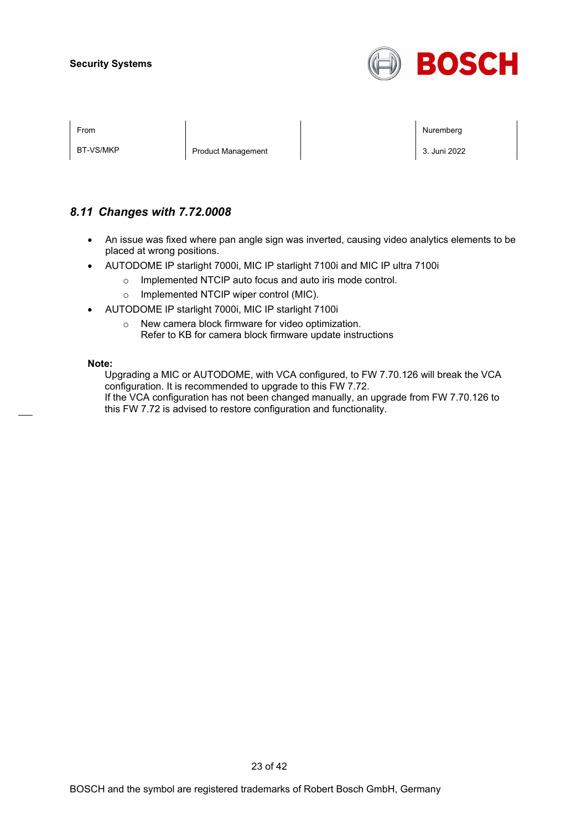

| <b>From</b> |  |
|-------------|--|
|             |  |

BT-VS/MKP Product Management 3. Juni 2022

From Nuremberg (Nuremberg ) and the contract of the contract of the contract of the contract of the contract of the contract of the contract of the contract of the contract of the contract of the contract of the contract o

# *8.11 Changes with 7.72.0008*

- An issue was fixed where pan angle sign was inverted, causing video analytics elements to be placed at wrong positions.
- AUTODOME IP starlight 7000i, MIC IP starlight 7100i and MIC IP ultra 7100i
	- o Implemented NTCIP auto focus and auto iris mode control.
	- o Implemented NTCIP wiper control (MIC).
- AUTODOME IP starlight 7000i, MIC IP starlight 7100i
	- o New camera block firmware for video optimization. Refer to KB for camera block firmware update instructions

#### **Note:**

Upgrading a MIC or AUTODOME, with VCA configured, to FW 7.70.126 will break the VCA configuration. It is recommended to upgrade to this FW 7.72. If the VCA configuration has not been changed manually, an upgrade from FW 7.70.126 to this FW 7.72 is advised to restore configuration and functionality.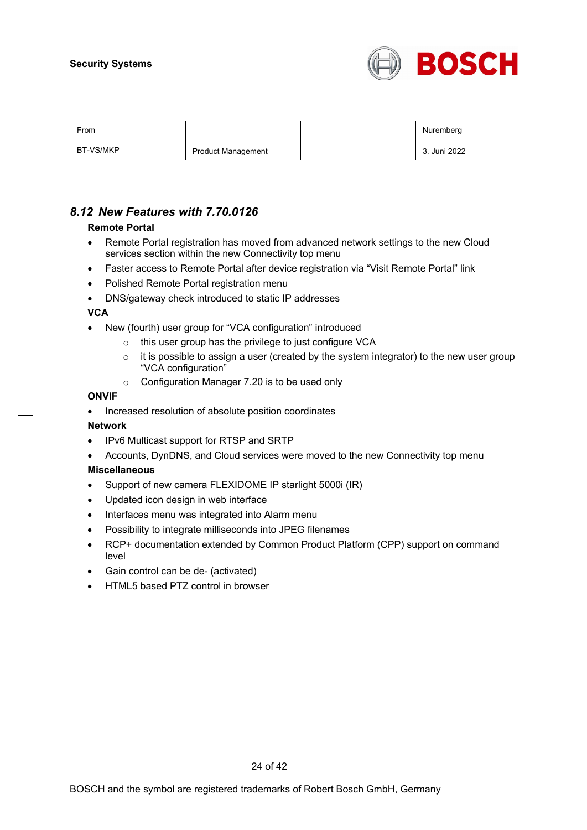

| From              |                          |   |  |  |        | Nuremberg |
|-------------------|--------------------------|---|--|--|--------|-----------|
|                   |                          |   |  |  |        |           |
| $DT$ $1/C$ (MIZD) | $\overline{\phantom{0}}$ | . |  |  | $\sim$ | $\cdots$  |

BT-VS/MKP Product Management 2002

# *8.12 New Features with 7.70.0126*

#### **Remote Portal**

- Remote Portal registration has moved from advanced network settings to the new Cloud services section within the new Connectivity top menu
- Faster access to Remote Portal after device registration via "Visit Remote Portal" link
- Polished Remote Portal registration menu
- DNS/gateway check introduced to static IP addresses

#### **VCA**

- New (fourth) user group for "VCA configuration" introduced
	- o this user group has the privilege to just configure VCA
	- $\circ$  it is possible to assign a user (created by the system integrator) to the new user group "VCA configuration"
	- o Configuration Manager 7.20 is to be used only

#### **ONVIF**

• Increased resolution of absolute position coordinates

#### **Network**

- IPv6 Multicast support for RTSP and SRTP
- Accounts, DynDNS, and Cloud services were moved to the new Connectivity top menu

#### **Miscellaneous**

- Support of new camera FLEXIDOME IP starlight 5000i (IR)
- Updated icon design in web interface
- Interfaces menu was integrated into Alarm menu
- Possibility to integrate milliseconds into JPEG filenames
- RCP+ documentation extended by Common Product Platform (CPP) support on command level
- Gain control can be de- (activated)
- HTML5 based PTZ control in browser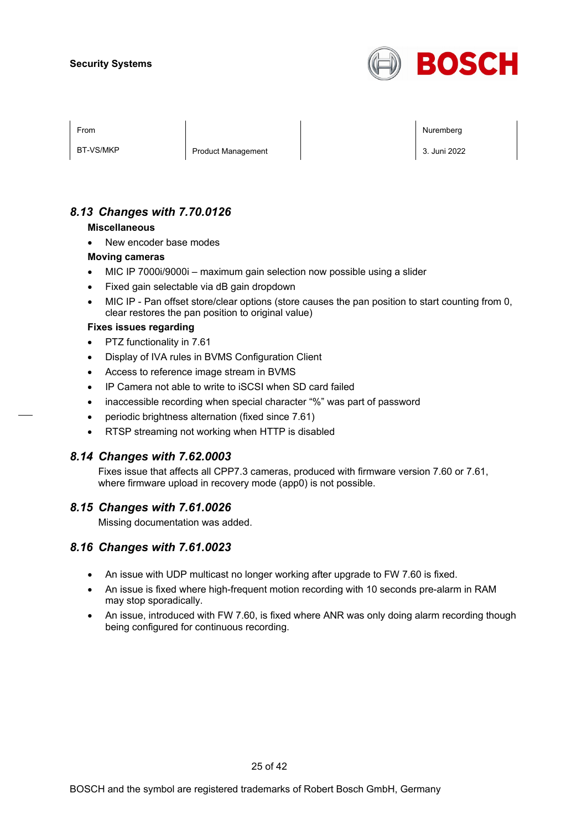

BT-VS/MKP Product Management 2. 3. Juni 2022

From Nuremberg (Nuremberg ) and the contract of the contract of the contract of the contract of the contract of the contract of the contract of the contract of the contract of the contract of the contract of the contract o

# *8.13 Changes with 7.70.0126*

#### **Miscellaneous**

New encoder base modes

#### **Moving cameras**

- MIC IP 7000i/9000i maximum gain selection now possible using a slider
- Fixed gain selectable via dB gain dropdown
- MIC IP Pan offset store/clear options (store causes the pan position to start counting from 0, clear restores the pan position to original value)

#### **Fixes issues regarding**

- PTZ functionality in 7.61
- Display of IVA rules in BVMS Configuration Client
- Access to reference image stream in BVMS
- IP Camera not able to write to iSCSI when SD card failed
- inaccessible recording when special character "%" was part of password
- periodic brightness alternation (fixed since 7.61)
- RTSP streaming not working when HTTP is disabled

## *8.14 Changes with 7.62.0003*

Fixes issue that affects all CPP7.3 cameras, produced with firmware version 7.60 or 7.61, where firmware upload in recovery mode (app0) is not possible.

## *8.15 Changes with 7.61.0026*

Missing documentation was added.

## *8.16 Changes with 7.61.0023*

- An issue with UDP multicast no longer working after upgrade to FW 7.60 is fixed.
- An issue is fixed where high-frequent motion recording with 10 seconds pre-alarm in RAM may stop sporadically.
- An issue, introduced with FW 7.60, is fixed where ANR was only doing alarm recording though being configured for continuous recording.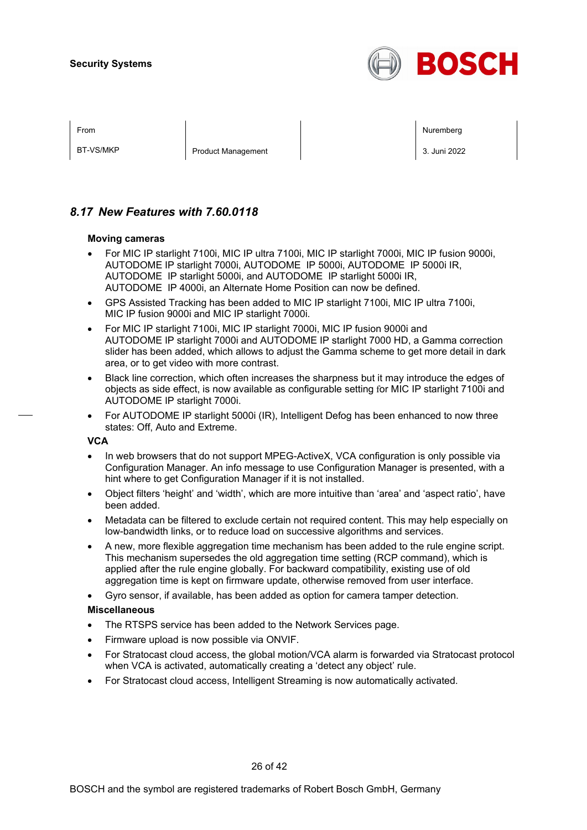

| I |
|---|
|---|

BT-VS/MKP Product Management 2. 3. Juni 2022

From Nuremberg (Nuremberg ) and the contract of the contract of the contract of the contract of the contract of the contract of the contract of the contract of the contract of the contract of the contract of the contract o

# *8.17 New Features with 7.60.0118*

#### **Moving cameras**

- For MIC IP starlight 7100i, MIC IP ultra 7100i, MIC IP starlight 7000i, MIC IP fusion 9000i, AUTODOME IP starlight 7000i, AUTODOME IP 5000i, AUTODOME IP 5000i IR, AUTODOME IP starlight 5000i, and AUTODOME IP starlight 5000i IR, AUTODOME IP 4000i, an Alternate Home Position can now be defined.
- GPS Assisted Tracking has been added to MIC IP starlight 7100i, MIC IP ultra 7100i, MIC IP fusion 9000i and MIC IP starlight 7000i.
- For MIC IP starlight 7100i, MIC IP starlight 7000i, MIC IP fusion 9000i and AUTODOME IP starlight 7000i and AUTODOME IP starlight 7000 HD, a Gamma correction slider has been added, which allows to adjust the Gamma scheme to get more detail in dark area, or to get video with more contrast.
- Black line correction, which often increases the sharpness but it may introduce the edges of objects as side effect, is now available as configurable setting for MIC IP starlight 7100i and AUTODOME IP starlight 7000i.
- For AUTODOME IP starlight 5000i (IR), Intelligent Defog has been enhanced to now three states: Off, Auto and Extreme.

#### **VCA**

- In web browsers that do not support MPEG-ActiveX, VCA configuration is only possible via Configuration Manager. An info message to use Configuration Manager is presented, with a hint where to get Configuration Manager if it is not installed.
- Object filters 'height' and 'width', which are more intuitive than 'area' and 'aspect ratio', have been added.
- Metadata can be filtered to exclude certain not required content. This may help especially on low-bandwidth links, or to reduce load on successive algorithms and services.
- A new, more flexible aggregation time mechanism has been added to the rule engine script. This mechanism supersedes the old aggregation time setting (RCP command), which is applied after the rule engine globally. For backward compatibility, existing use of old aggregation time is kept on firmware update, otherwise removed from user interface.
- Gyro sensor, if available, has been added as option for camera tamper detection.

#### **Miscellaneous**

- The RTSPS service has been added to the Network Services page.
- Firmware upload is now possible via ONVIF.
- For Stratocast cloud access, the global motion/VCA alarm is forwarded via Stratocast protocol when VCA is activated, automatically creating a 'detect any object' rule.
- For Stratocast cloud access, Intelligent Streaming is now automatically activated.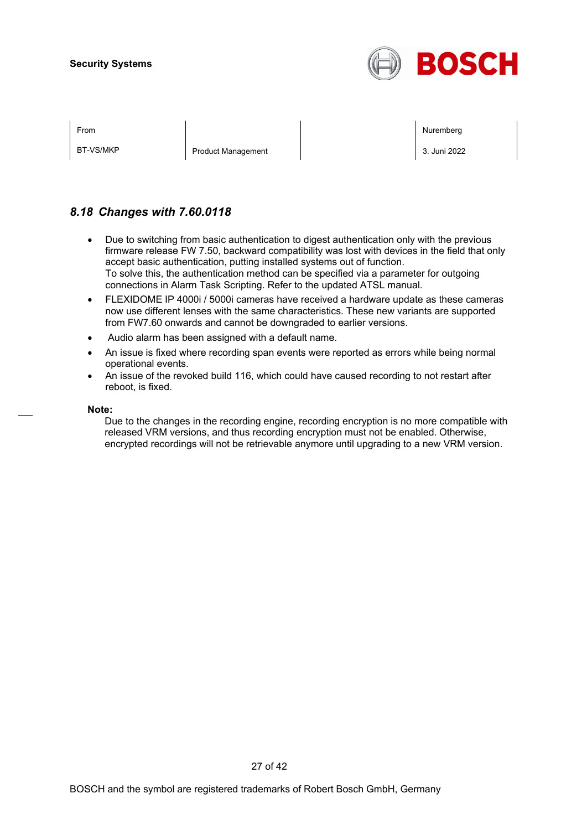

BT-VS/MKP Product Management 2. 3. Juni 2022

From Nuremberg (Nuremberg ) and the contract of the contract of the contract of the contract of the contract of the contract of the contract of the contract of the contract of the contract of the contract of the contract o

# *8.18 Changes with 7.60.0118*

- Due to switching from basic authentication to digest authentication only with the previous firmware release FW 7.50, backward compatibility was lost with devices in the field that only accept basic authentication, putting installed systems out of function. To solve this, the authentication method can be specified via a parameter for outgoing connections in Alarm Task Scripting. Refer to the updated ATSL manual.
- FLEXIDOME IP 4000i / 5000i cameras have received a hardware update as these cameras now use different lenses with the same characteristics. These new variants are supported from FW7.60 onwards and cannot be downgraded to earlier versions.
- Audio alarm has been assigned with a default name.
- An issue is fixed where recording span events were reported as errors while being normal operational events.
- An issue of the revoked build 116, which could have caused recording to not restart after reboot, is fixed.

#### **Note:**

Due to the changes in the recording engine, recording encryption is no more compatible with released VRM versions, and thus recording encryption must not be enabled. Otherwise, encrypted recordings will not be retrievable anymore until upgrading to a new VRM version.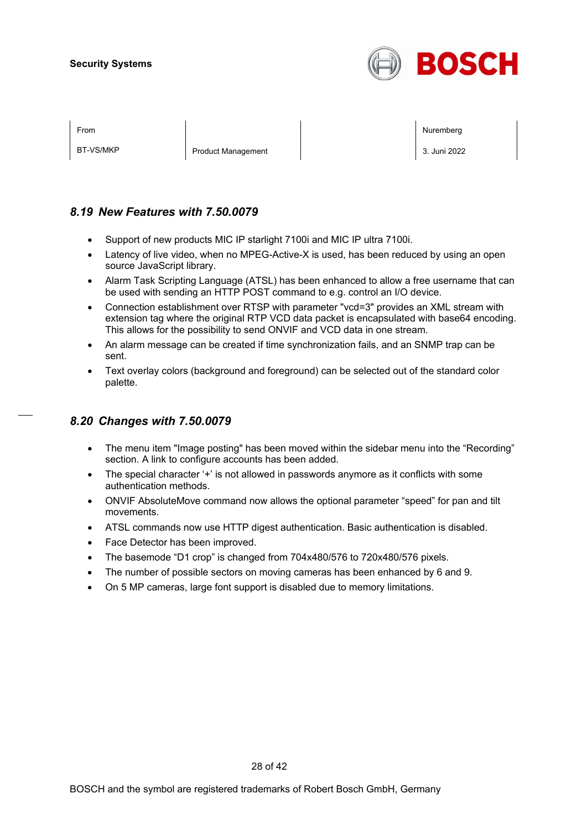

| ⊢rom |  |  |
|------|--|--|
|      |  |  |
|      |  |  |

BT-VS/MKP Product Management 2. 3. Juni 2022

From the second contract of the second contract of the second contract of the second contract of the second contract of the second contract of the second contract of the second contract of the second contract of the second

## *8.19 New Features with 7.50.0079*

- Support of new products MIC IP starlight 7100i and MIC IP ultra 7100i.
- Latency of live video, when no MPEG-Active-X is used, has been reduced by using an open source JavaScript library.
- Alarm Task Scripting Language (ATSL) has been enhanced to allow a free username that can be used with sending an HTTP POST command to e.g. control an I/O device.
- Connection establishment over RTSP with parameter "vcd=3" provides an XML stream with extension tag where the original RTP VCD data packet is encapsulated with base64 encoding. This allows for the possibility to send ONVIF and VCD data in one stream.
- An alarm message can be created if time synchronization fails, and an SNMP trap can be sent.
- Text overlay colors (background and foreground) can be selected out of the standard color palette.

# *8.20 Changes with 7.50.0079*

- The menu item "Image posting" has been moved within the sidebar menu into the "Recording" section. A link to configure accounts has been added.
- The special character '+' is not allowed in passwords anymore as it conflicts with some authentication methods.
- ONVIF AbsoluteMove command now allows the optional parameter "speed" for pan and tilt movements.
- ATSL commands now use HTTP digest authentication. Basic authentication is disabled.
- Face Detector has been improved.
- The basemode "D1 crop" is changed from 704x480/576 to 720x480/576 pixels.
- The number of possible sectors on moving cameras has been enhanced by 6 and 9.
- On 5 MP cameras, large font support is disabled due to memory limitations.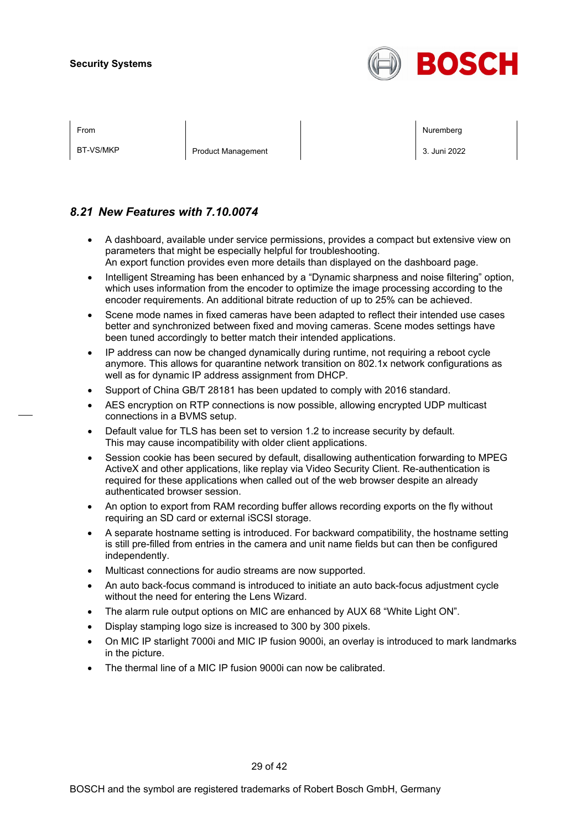

BT-VS/MKP Product Management 2. 3. Juni 2022

From the second contract of the second contract of the second contract of the second contract of the second contract of the second contract of the second contract of the second contract of the second contract of the second

# *8.21 New Features with 7.10.0074*

- A dashboard, available under service permissions, provides a compact but extensive view on parameters that might be especially helpful for troubleshooting. An export function provides even more details than displayed on the dashboard page.
- Intelligent Streaming has been enhanced by a "Dynamic sharpness and noise filtering" option, which uses information from the encoder to optimize the image processing according to the encoder requirements. An additional bitrate reduction of up to 25% can be achieved.
- Scene mode names in fixed cameras have been adapted to reflect their intended use cases better and synchronized between fixed and moving cameras. Scene modes settings have been tuned accordingly to better match their intended applications.
- IP address can now be changed dynamically during runtime, not requiring a reboot cycle anymore. This allows for quarantine network transition on 802.1x network configurations as well as for dynamic IP address assignment from DHCP.
- Support of China GB/T 28181 has been updated to comply with 2016 standard.
- AES encryption on RTP connections is now possible, allowing encrypted UDP multicast connections in a BVMS setup.
- Default value for TLS has been set to version 1.2 to increase security by default. This may cause incompatibility with older client applications.
- Session cookie has been secured by default, disallowing authentication forwarding to MPEG ActiveX and other applications, like replay via Video Security Client. Re-authentication is required for these applications when called out of the web browser despite an already authenticated browser session.
- An option to export from RAM recording buffer allows recording exports on the fly without requiring an SD card or external iSCSI storage.
- A separate hostname setting is introduced. For backward compatibility, the hostname setting is still pre-filled from entries in the camera and unit name fields but can then be configured independently.
- Multicast connections for audio streams are now supported.
- An auto back-focus command is introduced to initiate an auto back-focus adjustment cycle without the need for entering the Lens Wizard.
- The alarm rule output options on MIC are enhanced by AUX 68 "White Light ON".
- Display stamping logo size is increased to 300 by 300 pixels.
- On MIC IP starlight 7000i and MIC IP fusion 9000i, an overlay is introduced to mark landmarks in the picture.
- The thermal line of a MIC IP fusion 9000i can now be calibrated.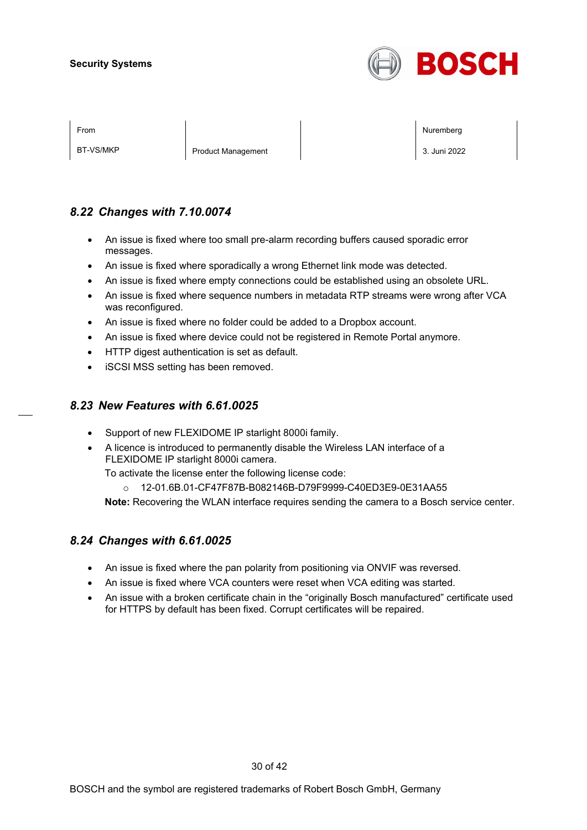

BT-VS/MKP Product Management 2. 3. Juni 2022

From the second contract of the second contract of the second contract of the second contract of the second contract of the second contract of the second contract of the second contract of the second contract of the second

# *8.22 Changes with 7.10.0074*

- An issue is fixed where too small pre-alarm recording buffers caused sporadic error messages.
- An issue is fixed where sporadically a wrong Ethernet link mode was detected.
- An issue is fixed where empty connections could be established using an obsolete URL.
- An issue is fixed where sequence numbers in metadata RTP streams were wrong after VCA was reconfigured.
- An issue is fixed where no folder could be added to a Dropbox account.
- An issue is fixed where device could not be registered in Remote Portal anymore.
- HTTP digest authentication is set as default.
- iSCSI MSS setting has been removed.

# *8.23 New Features with 6.61.0025*

- Support of new FLEXIDOME IP starlight 8000i family.
- A licence is introduced to permanently disable the Wireless LAN interface of a FLEXIDOME IP starlight 8000i camera.

To activate the license enter the following license code:

o 12-01.6B.01-CF47F87B-B082146B-D79F9999-C40ED3E9-0E31AA55

**Note:** Recovering the WLAN interface requires sending the camera to a Bosch service center.

## *8.24 Changes with 6.61.0025*

- An issue is fixed where the pan polarity from positioning via ONVIF was reversed.
- An issue is fixed where VCA counters were reset when VCA editing was started.
- An issue with a broken certificate chain in the "originally Bosch manufactured" certificate used for HTTPS by default has been fixed. Corrupt certificates will be repaired.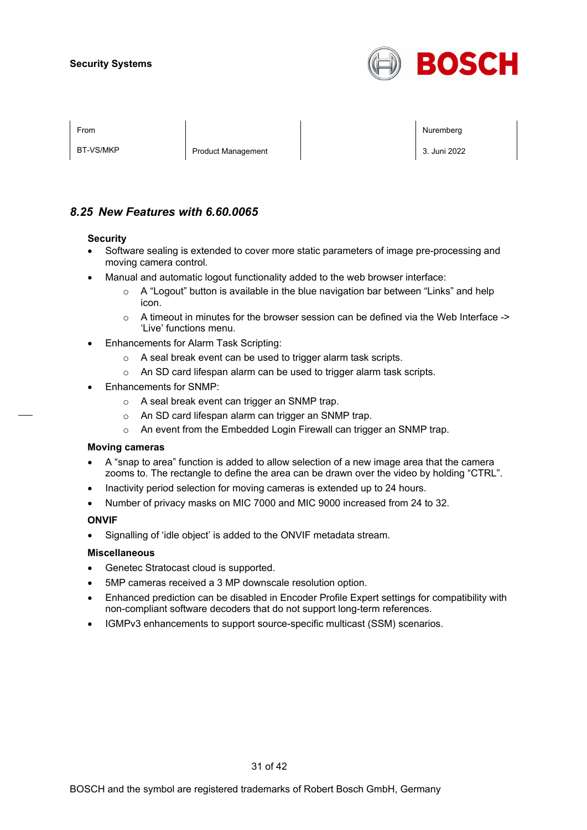

BT-VS/MKP Product Management 3. Juni 2022

From the second contract of the second contract of the second contract of the second contract of the second contract of the second contract of the second contract of the second contract of the second contract of the second

# *8.25 New Features with 6.60.0065*

#### **Security**

- Software sealing is extended to cover more static parameters of image pre-processing and moving camera control.
- Manual and automatic logout functionality added to the web browser interface:
	- $\circ$  A "Logout" button is available in the blue navigation bar between "Links" and help icon.
	- $\circ$  A timeout in minutes for the browser session can be defined via the Web Interface -> 'Live' functions menu.
- Enhancements for Alarm Task Scripting:
	- o A seal break event can be used to trigger alarm task scripts.
	- o An SD card lifespan alarm can be used to trigger alarm task scripts.
- Enhancements for SNMP:
	- o A seal break event can trigger an SNMP trap.
	- o An SD card lifespan alarm can trigger an SNMP trap.
	- o An event from the Embedded Login Firewall can trigger an SNMP trap.

#### **Moving cameras**

- A "snap to area" function is added to allow selection of a new image area that the camera zooms to. The rectangle to define the area can be drawn over the video by holding "CTRL".
- Inactivity period selection for moving cameras is extended up to 24 hours.
- Number of privacy masks on MIC 7000 and MIC 9000 increased from 24 to 32.

#### **ONVIF**

• Signalling of 'idle object' is added to the ONVIF metadata stream.

#### **Miscellaneous**

- Genetec Stratocast cloud is supported.
- 5MP cameras received a 3 MP downscale resolution option.
- Enhanced prediction can be disabled in Encoder Profile Expert settings for compatibility with non-compliant software decoders that do not support long-term references.
- IGMPv3 enhancements to support source-specific multicast (SSM) scenarios.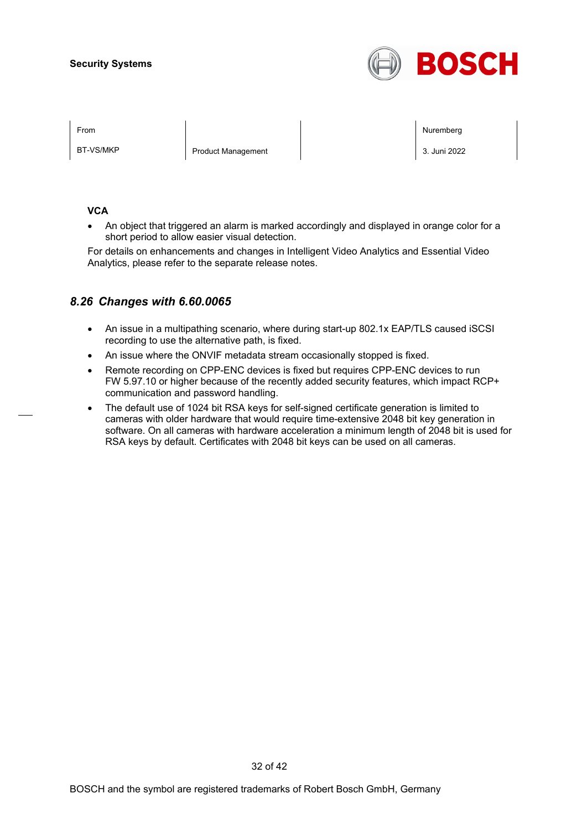

BT-VS/MKP Product Management 2022

From the second contract of the second contract of the second contract of the second contract of the second contract of the second contract of the second contract of the second contract of the second contract of the second

#### **VCA**

• An object that triggered an alarm is marked accordingly and displayed in orange color for a short period to allow easier visual detection.

For details on enhancements and changes in Intelligent Video Analytics and Essential Video Analytics, please refer to the separate release notes.

# *8.26 Changes with 6.60.0065*

- An issue in a multipathing scenario, where during start-up 802.1x EAP/TLS caused iSCSI recording to use the alternative path, is fixed.
- An issue where the ONVIF metadata stream occasionally stopped is fixed.
- Remote recording on CPP-ENC devices is fixed but requires CPP-ENC devices to run FW 5.97.10 or higher because of the recently added security features, which impact RCP+ communication and password handling.
- The default use of 1024 bit RSA keys for self-signed certificate generation is limited to cameras with older hardware that would require time-extensive 2048 bit key generation in software. On all cameras with hardware acceleration a minimum length of 2048 bit is used for RSA keys by default. Certificates with 2048 bit keys can be used on all cameras.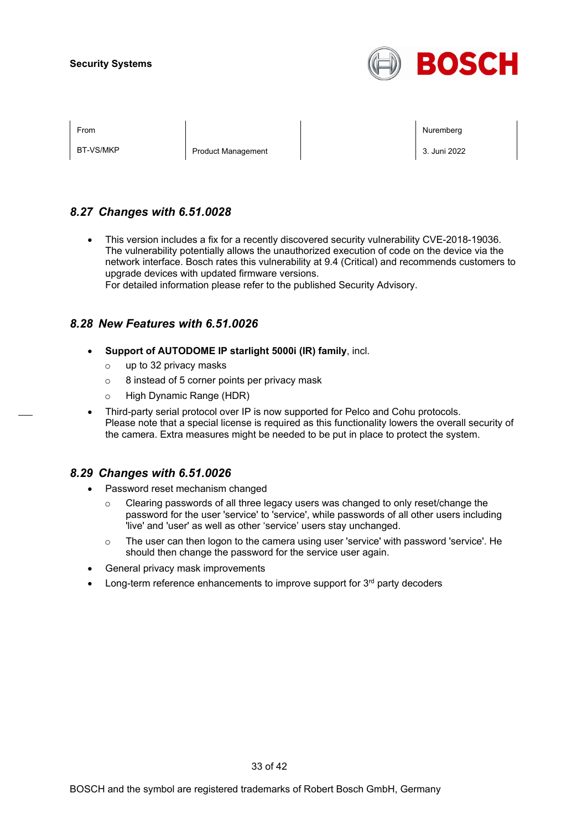

BT-VS/MKP Product Management 2. 3. Juni 2022

From the second contract of the second contract of the second contract of the second contract of the second contract of the second contract of the second contract of the second contract of the second contract of the second

# *8.27 Changes with 6.51.0028*

• This version includes a fix for a recently discovered security vulnerability CVE-2018-19036. The vulnerability potentially allows the unauthorized execution of code on the device via the network interface. Bosch rates this vulnerability at 9.4 (Critical) and recommends customers to upgrade devices with updated firmware versions.

For detailed information please refer to the published Security Advisory.

## *8.28 New Features with 6.51.0026*

- **Support of AUTODOME IP starlight 5000i (IR) family**, incl.
	- o up to 32 privacy masks
	- $\circ$  8 instead of 5 corner points per privacy mask
	- o High Dynamic Range (HDR)
- Third-party serial protocol over IP is now supported for Pelco and Cohu protocols. Please note that a special license is required as this functionality lowers the overall security of the camera. Extra measures might be needed to be put in place to protect the system.

## *8.29 Changes with 6.51.0026*

- Password reset mechanism changed
	- $\circ$  Clearing passwords of all three legacy users was changed to only reset/change the password for the user 'service' to 'service', while passwords of all other users including 'live' and 'user' as well as other 'service' users stay unchanged.
	- $\circ$  The user can then logon to the camera using user 'service' with password 'service'. He should then change the password for the service user again.
- General privacy mask improvements
- Long-term reference enhancements to improve support for 3<sup>rd</sup> party decoders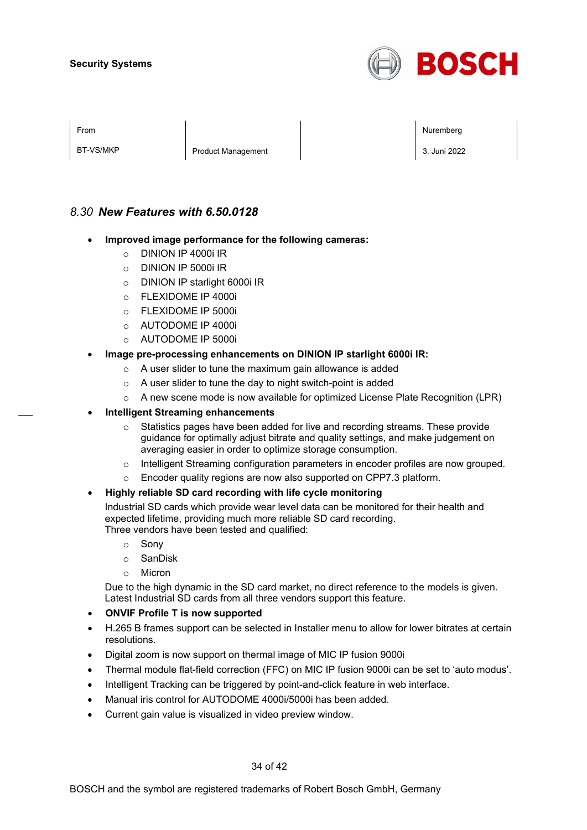

| ×<br>I |  |
|--------|--|
|        |  |

BT-VS/MKP Product Management 3. Juni 2022

From the second contract of the second contract of the second contract of the second contract of the second contract of the second contract of the second contract of the second contract of the second contract of the second

# *8.30 New Features with 6.50.0128*

- **Improved image performance for the following cameras:**
	- o DINION IP 4000i IR
	- o DINION IP 5000i IR
	- o DINION IP starlight 6000i IR
	- o FLEXIDOME IP 4000i
	- $\circ$  FLEXIDOME IP 5000i
	- o AUTODOME IP 4000i
	- o AUTODOME IP 5000i

#### • **Image pre-processing enhancements on DINION IP starlight 6000i IR:**

- o A user slider to tune the maximum gain allowance is added
- o A user slider to tune the day to night switch-point is added
- $\circ$  A new scene mode is now available for optimized License Plate Recognition (LPR)
- **Intelligent Streaming enhancements**
	- o Statistics pages have been added for live and recording streams. These provide guidance for optimally adjust bitrate and quality settings, and make judgement on averaging easier in order to optimize storage consumption.
	- o Intelligent Streaming configuration parameters in encoder profiles are now grouped.
	- Encoder quality regions are now also supported on CPP7.3 platform.

#### • **Highly reliable SD card recording with life cycle monitoring**

Industrial SD cards which provide wear level data can be monitored for their health and expected lifetime, providing much more reliable SD card recording. Three vendors have been tested and qualified:

- o Sony
- o SanDisk
- o Micron

Due to the high dynamic in the SD card market, no direct reference to the models is given. Latest Industrial SD cards from all three vendors support this feature.

- **ONVIF Profile T is now supported**
- H.265 B frames support can be selected in Installer menu to allow for lower bitrates at certain resolutions.
- Digital zoom is now support on thermal image of MIC IP fusion 9000i
- Thermal module flat-field correction (FFC) on MIC IP fusion 9000i can be set to 'auto modus'.
- Intelligent Tracking can be triggered by point-and-click feature in web interface.
- Manual iris control for AUTODOME 4000i/5000i has been added.
- Current gain value is visualized in video preview window.

34 of 42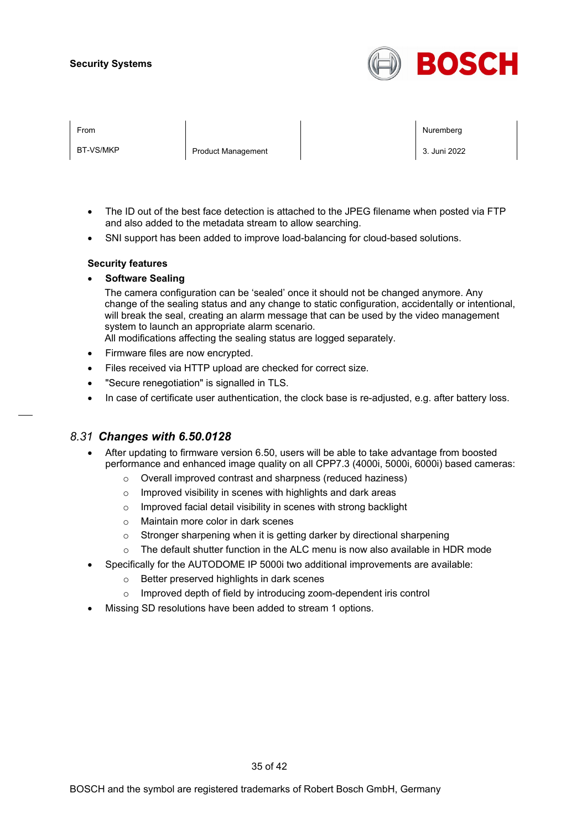

| From      |                           | Nuremberg    |
|-----------|---------------------------|--------------|
| BT-VS/MKP | <b>Product Management</b> | 3. Juni 2022 |

- The ID out of the best face detection is attached to the JPEG filename when posted via FTP and also added to the metadata stream to allow searching.
- SNI support has been added to improve load-balancing for cloud-based solutions.

#### **Security features**

• **Software Sealing**

The camera configuration can be 'sealed' once it should not be changed anymore. Any change of the sealing status and any change to static configuration, accidentally or intentional, will break the seal, creating an alarm message that can be used by the video management system to launch an appropriate alarm scenario.

All modifications affecting the sealing status are logged separately.

- Firmware files are now encrypted.
- Files received via HTTP upload are checked for correct size.
- "Secure renegotiation" is signalled in TLS.
- In case of certificate user authentication, the clock base is re-adjusted, e.g. after battery loss.

## *8.31 Changes with 6.50.0128*

- After updating to firmware version 6.50, users will be able to take advantage from boosted performance and enhanced image quality on all CPP7.3 (4000i, 5000i, 6000i) based cameras:
	- o Overall improved contrast and sharpness (reduced haziness)
	- o Improved visibility in scenes with highlights and dark areas
	- o Improved facial detail visibility in scenes with strong backlight
	- o Maintain more color in dark scenes
	- o Stronger sharpening when it is getting darker by directional sharpening
	- $\circ$  The default shutter function in the ALC menu is now also available in HDR mode
- Specifically for the AUTODOME IP 5000i two additional improvements are available:
	- o Better preserved highlights in dark scenes
	- o Improved depth of field by introducing zoom-dependent iris control
- Missing SD resolutions have been added to stream 1 options.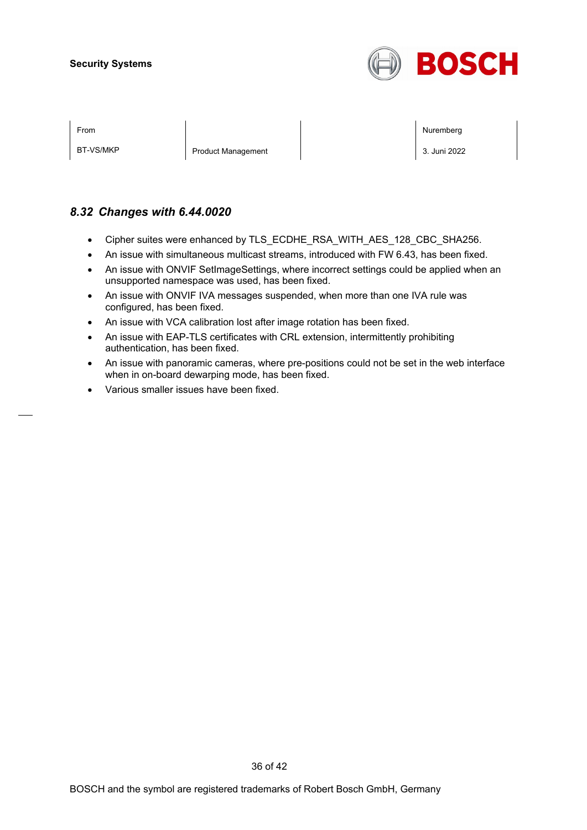

BT-VS/MKP Product Management 3. Juni 2022

From the second contract of the second contract of the second contract of the second contract of the second contract of the second contract of the second contract of the second contract of the second contract of the second

# *8.32 Changes with 6.44.0020*

- Cipher suites were enhanced by TLS\_ECDHE\_RSA\_WITH\_AES\_128\_CBC\_SHA256.
- An issue with simultaneous multicast streams, introduced with FW 6.43, has been fixed.
- An issue with ONVIF SetImageSettings, where incorrect settings could be applied when an unsupported namespace was used, has been fixed.
- An issue with ONVIF IVA messages suspended, when more than one IVA rule was configured, has been fixed.
- An issue with VCA calibration lost after image rotation has been fixed.
- An issue with EAP-TLS certificates with CRL extension, intermittently prohibiting authentication, has been fixed.
- An issue with panoramic cameras, where pre-positions could not be set in the web interface when in on-board dewarping mode, has been fixed.
- Various smaller issues have been fixed.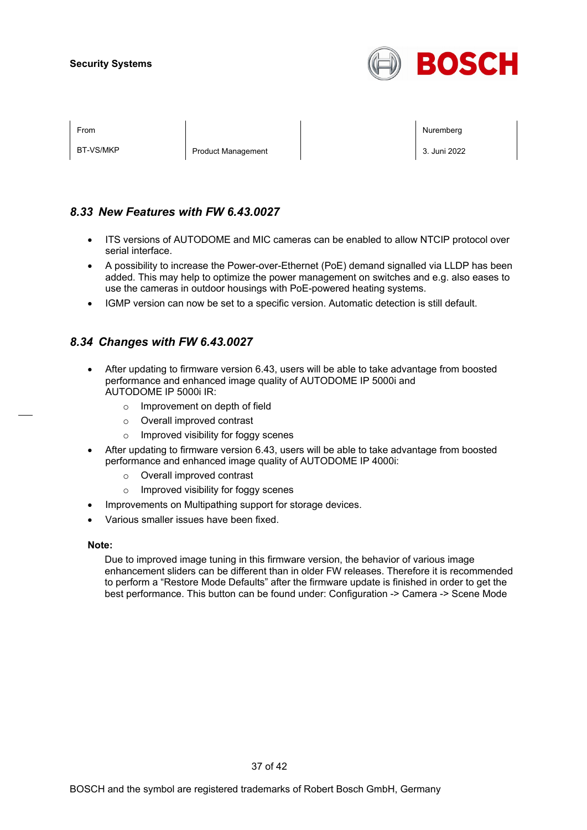

| From |  |  |
|------|--|--|
|      |  |  |
|      |  |  |

BT-VS/MKP Product Management 2. 3. Juni 2022

From the second contract of the second contract of the second contract of the second contract of the second contract of the second contract of the second contract of the second contract of the second contract of the second

# *8.33 New Features with FW 6.43.0027*

- ITS versions of AUTODOME and MIC cameras can be enabled to allow NTCIP protocol over serial interface.
- A possibility to increase the Power-over-Ethernet (PoE) demand signalled via LLDP has been added. This may help to optimize the power management on switches and e.g. also eases to use the cameras in outdoor housings with PoE-powered heating systems.
- IGMP version can now be set to a specific version. Automatic detection is still default.

# *8.34 Changes with FW 6.43.0027*

- After updating to firmware version 6.43, users will be able to take advantage from boosted performance and enhanced image quality of AUTODOME IP 5000i and AUTODOME IP 5000i IR:
	- o Improvement on depth of field
	- o Overall improved contrast
	- o Improved visibility for foggy scenes
- After updating to firmware version 6.43, users will be able to take advantage from boosted performance and enhanced image quality of AUTODOME IP 4000i:
	- o Overall improved contrast
	- o Improved visibility for foggy scenes
- Improvements on Multipathing support for storage devices.
- Various smaller issues have been fixed.

#### **Note:**

Due to improved image tuning in this firmware version, the behavior of various image enhancement sliders can be different than in older FW releases. Therefore it is recommended to perform a "Restore Mode Defaults" after the firmware update is finished in order to get the best performance. This button can be found under: Configuration -> Camera -> Scene Mode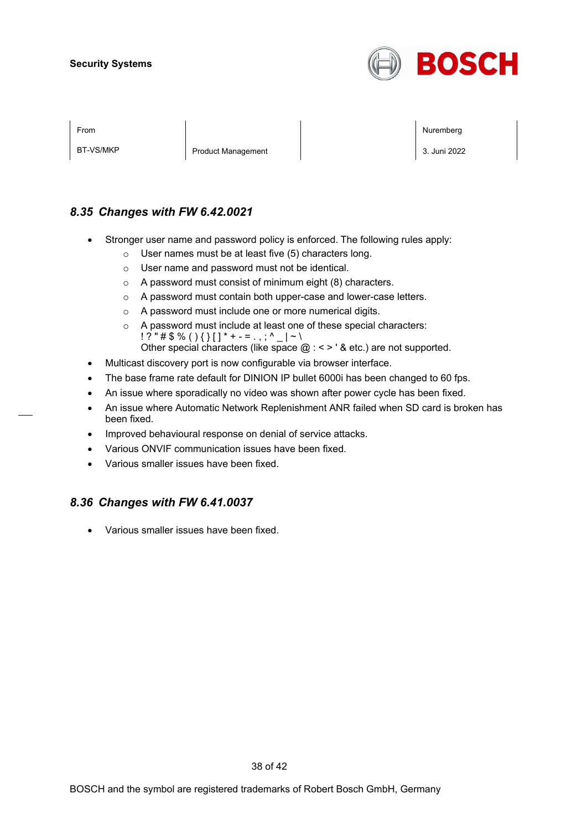

BT-VS/MKP Product Management 2. 3. Juni 2022

From the second contract of the second contract of the second contract of the second contract of the second contract of the second contract of the second contract of the second contract of the second contract of the second

# *8.35 Changes with FW 6.42.0021*

- Stronger user name and password policy is enforced. The following rules apply:
	- o User names must be at least five (5) characters long.
	- o User name and password must not be identical.
	- o A password must consist of minimum eight (8) characters.
	- o A password must contain both upper-case and lower-case letters.
	- o A password must include one or more numerical digits.
	- o A password must include at least one of these special characters:  $! ? " \# \$ \% () \{ \} [ ] * + - = . , ; ^ {\wedge} _ - | ~ \wedge \}$ Other special characters (like space  $@:<>$  ' & etc.) are not supported.
- Multicast discovery port is now configurable via browser interface.
- The base frame rate default for DINION IP bullet 6000i has been changed to 60 fps.
- An issue where sporadically no video was shown after power cycle has been fixed.
- An issue where Automatic Network Replenishment ANR failed when SD card is broken has been fixed.
- Improved behavioural response on denial of service attacks.
- Various ONVIF communication issues have been fixed.
- Various smaller issues have been fixed.

## *8.36 Changes with FW 6.41.0037*

• Various smaller issues have been fixed.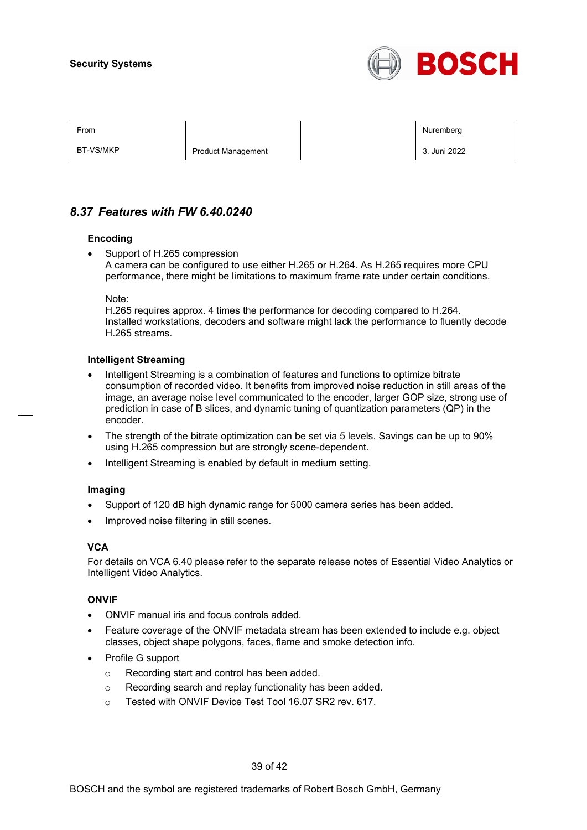

BT-VS/MKP Product Management 2. 3. Juni 2022

From the second contract of the second contract of the second contract of the second contract of the second contract of the second contract of the second contract of the second contract of the second contract of the second

# *8.37 Features with FW 6.40.0240*

#### **Encoding**

Support of H.265 compression A camera can be configured to use either H.265 or H.264. As H.265 requires more CPU performance, there might be limitations to maximum frame rate under certain conditions.

Note:

H.265 requires approx. 4 times the performance for decoding compared to H.264. Installed workstations, decoders and software might lack the performance to fluently decode H.265 streams.

#### **Intelligent Streaming**

- Intelligent Streaming is a combination of features and functions to optimize bitrate consumption of recorded video. It benefits from improved noise reduction in still areas of the image, an average noise level communicated to the encoder, larger GOP size, strong use of prediction in case of B slices, and dynamic tuning of quantization parameters (QP) in the encoder.
- The strength of the bitrate optimization can be set via 5 levels. Savings can be up to 90% using H.265 compression but are strongly scene-dependent.
- Intelligent Streaming is enabled by default in medium setting.

#### **Imaging**

- Support of 120 dB high dynamic range for 5000 camera series has been added.
- Improved noise filtering in still scenes.

#### **VCA**

For details on VCA 6.40 please refer to the separate release notes of Essential Video Analytics or Intelligent Video Analytics.

#### **ONVIF**

- ONVIF manual iris and focus controls added.
- Feature coverage of the ONVIF metadata stream has been extended to include e.g. object classes, object shape polygons, faces, flame and smoke detection info.
- Profile G support
	- o Recording start and control has been added.
	- o Recording search and replay functionality has been added.
	- o Tested with ONVIF Device Test Tool 16.07 SR2 rev. 617.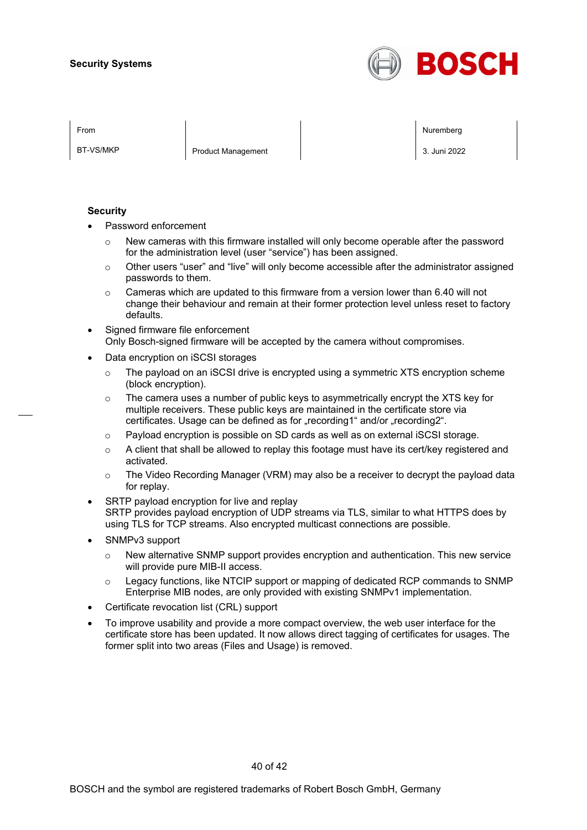

BT-VS/MKP Product Management 2. 3. Juni 2022

From the second contract of the second contract of the second contract of the second contract of the second contract of the second contract of the second contract of the second contract of the second contract of the second

#### **Security**

- Password enforcement
	- $\circ$  New cameras with this firmware installed will only become operable after the password for the administration level (user "service") has been assigned.
	- $\circ$  Other users "user" and "live" will only become accessible after the administrator assigned passwords to them.
	- $\circ$  Cameras which are updated to this firmware from a version lower than 6.40 will not change their behaviour and remain at their former protection level unless reset to factory defaults.
- Signed firmware file enforcement Only Bosch-signed firmware will be accepted by the camera without compromises.
- Data encryption on iSCSI storages
	- $\circ$  The payload on an iSCSI drive is encrypted using a symmetric XTS encryption scheme (block encryption).
	- $\circ$  The camera uses a number of public keys to asymmetrically encrypt the XTS key for multiple receivers. These public keys are maintained in the certificate store via certificates. Usage can be defined as for "recording1" and/or "recording2".
	- o Payload encryption is possible on SD cards as well as on external iSCSI storage.
	- $\circ$  A client that shall be allowed to replay this footage must have its cert/key registered and activated.
	- $\circ$  The Video Recording Manager (VRM) may also be a receiver to decrypt the payload data for replay.
- SRTP payload encryption for live and replay SRTP provides payload encryption of UDP streams via TLS, similar to what HTTPS does by using TLS for TCP streams. Also encrypted multicast connections are possible.
- SNMPv3 support
	- $\circ$  New alternative SNMP support provides encryption and authentication. This new service will provide pure MIB-II access.
	- $\circ$  Legacy functions, like NTCIP support or mapping of dedicated RCP commands to SNMP Enterprise MIB nodes, are only provided with existing SNMPv1 implementation.
- Certificate revocation list (CRL) support
- To improve usability and provide a more compact overview, the web user interface for the certificate store has been updated. It now allows direct tagging of certificates for usages. The former split into two areas (Files and Usage) is removed.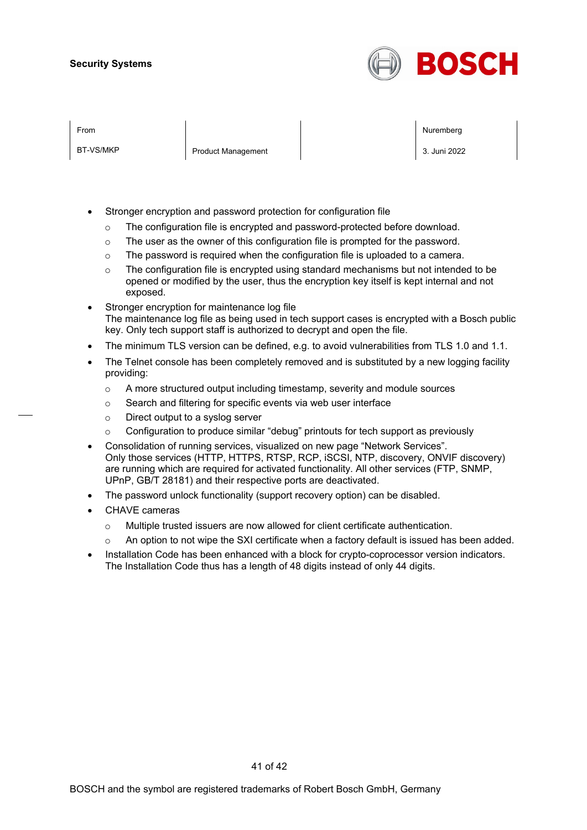

BT-VS/MKP Product Management 2. 3. Juni 2022

From the second contract of the second contract of the second contract of the second contract of the second contract of the second contract of the second contract of the second contract of the second contract of the second

- Stronger encryption and password protection for configuration file
	- o The configuration file is encrypted and password-protected before download.
	- o The user as the owner of this configuration file is prompted for the password.
	- $\circ$  The password is required when the configuration file is uploaded to a camera.
	- $\circ$  The configuration file is encrypted using standard mechanisms but not intended to be opened or modified by the user, thus the encryption key itself is kept internal and not exposed.
- Stronger encryption for maintenance log file The maintenance log file as being used in tech support cases is encrypted with a Bosch public key. Only tech support staff is authorized to decrypt and open the file.
- The minimum TLS version can be defined, e.g. to avoid vulnerabilities from TLS 1.0 and 1.1.
- The Telnet console has been completely removed and is substituted by a new logging facility providing:
	- o A more structured output including timestamp, severity and module sources
	- o Search and filtering for specific events via web user interface
	- o Direct output to a syslog server
	- $\circ$  Configuration to produce similar "debug" printouts for tech support as previously
- Consolidation of running services, visualized on new page "Network Services". Only those services (HTTP, HTTPS, RTSP, RCP, iSCSI, NTP, discovery, ONVIF discovery) are running which are required for activated functionality. All other services (FTP, SNMP, UPnP, GB/T 28181) and their respective ports are deactivated.
- The password unlock functionality (support recovery option) can be disabled.
- CHAVE cameras
	- o Multiple trusted issuers are now allowed for client certificate authentication.
	- o An option to not wipe the SXI certificate when a factory default is issued has been added.
- Installation Code has been enhanced with a block for crypto-coprocessor version indicators. The Installation Code thus has a length of 48 digits instead of only 44 digits.